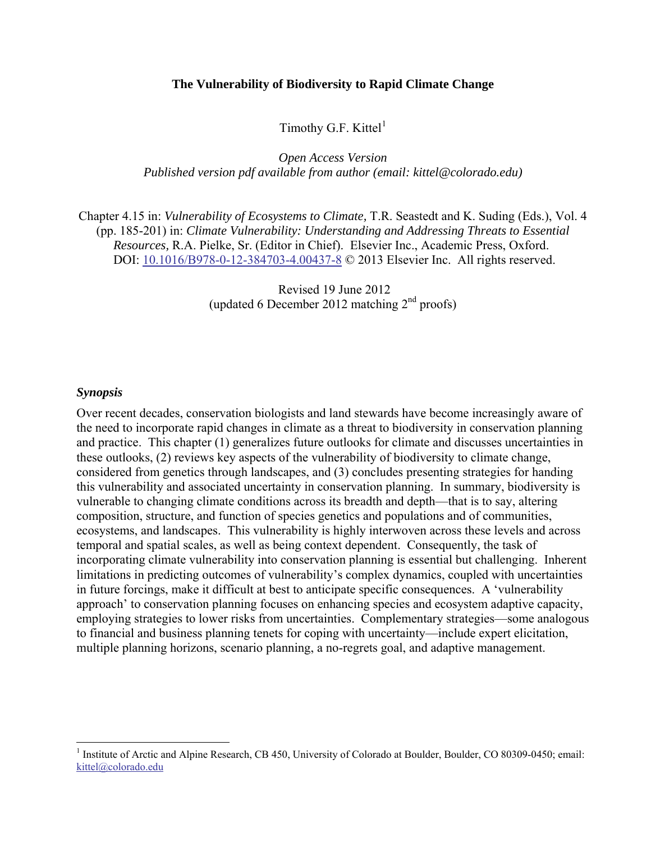#### **The Vulnerability of Biodiversity to Rapid Climate Change**

Timothy G.F. Kittel $<sup>1</sup>$ </sup>

*Open Access Version Published version pdf available from author (email: kittel@colorado.edu)*

<span id="page-0-1"></span>Chapter 4.15 in: *Vulnerability of Ecosystems to Climate,* T.R. Seastedt and K. Suding (Eds.), Vol. 4 (pp. 185-201) in: *Climate Vulnerability: Understanding and Addressing Threats to Essential Resources,* R.A. Pielke, Sr. (Editor in Chief). Elsevier Inc., Academic Press, Oxford. DOI: [10.1016/B978-0-12-384703-4.00437-8](http://dx.doi.org/10.1016/B978-0-12-384703-4.00437-8) © 2013 Elsevier Inc. All rights reserved.

> Revised 19 June 2012 (updated 6 December 2012 matching 2nd proofs)

#### <span id="page-0-2"></span>*Synopsis*

 $\overline{a}$ 

Over recent decades, conservation biologists and land stewards have become increasingly aware of the need to incorporate rapid changes in climate as a threat to biodiversity in conservation planning and practice. This chapter (1) generalizes future outlooks for climate and discusses uncertainties in these outlooks, (2) reviews key aspects of the vulnerability of biodiversity to climate change, considered from genetics through landscapes, and (3) concludes presenting strategies for handing this vulnerability and associated uncertainty in conservation planning. In summary, biodiversity is vulnerable to changing climate conditions across its breadth and depth—that is to say, altering composition, structure, and function of species genetics and populations and of communities, ecosystems, and landscapes. This vulnerability is highly interwoven across these levels and across temporal and spatial scales, as well as being context dependent. Consequently, the task of incorporating climate vulnerability into conservation planning is essential but challenging. Inherent limitations in predicting outcomes of vulnerability's complex dynamics, coupled with uncertainties in future forcings, make it difficult at best to anticipate specific consequences. A 'vulnerability approach' to conservation planning focuses on enhancing species and ecosystem adaptive capacity, employing strategies to lower risks from uncertainties. Complementary strategies—some analogous to financial and business planning tenets for coping with uncertainty—include expert elicitation, multiple planning horizons, scenario planning, a no-regrets goal, and adaptive management.

<span id="page-0-0"></span><sup>&</sup>lt;sup>1</sup> Institute of Arctic and Alpine Research, CB 450, University of Colorado at Boulder, Boulder, CO 80309-0450; email: [kittel@colorado.edu](mailto:kittel@colorado.edu)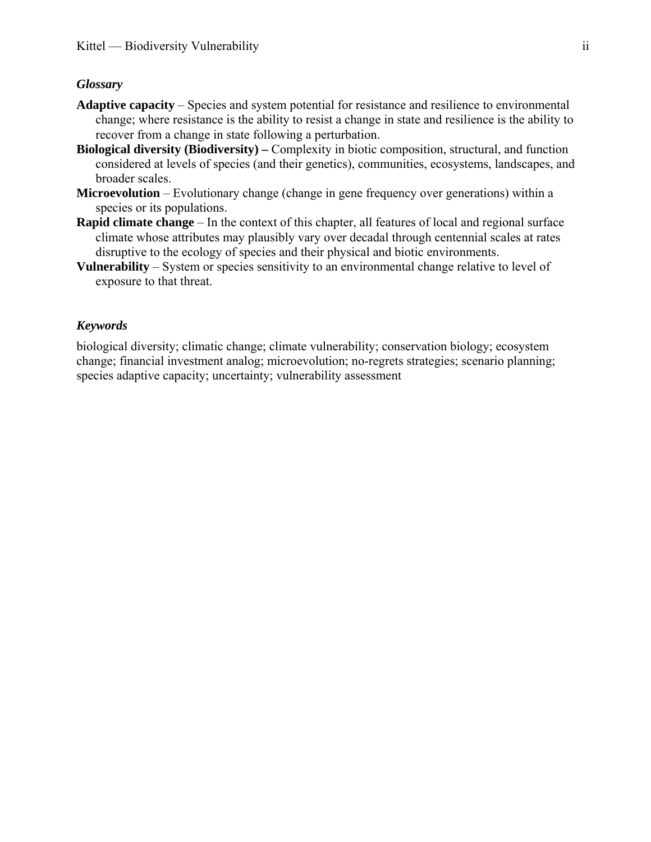#### <span id="page-1-0"></span>*Glossary*

- **Adaptive capacity** Species and system potential for resistance and resilience to environmental change; where resistance is the ability to resist a change in state and resilience is the ability to recover from a change in state following a perturbation.
- **Biological diversity (Biodiversity) –** Complexity in biotic composition, structural, and function considered at levels of species (and their genetics), communities, ecosystems, landscapes, and broader scales.
- **Microevolution** Evolutionary change (change in gene frequency over generations) within a species or its populations.
- **Rapid climate change** In the context of this chapter, all features of local and regional surface climate whose attributes may plausibly vary over decadal through centennial scales at rates disruptive to the ecology of species and their physical and biotic environments.
- **Vulnerability** System or species sensitivity to an environmental change relative to level of exposure to that threat.

#### <span id="page-1-1"></span>*Keywords*

biological diversity; climatic change; climate vulnerability; conservation biology; ecosystem change; financial investment analog; microevolution; no-regrets strategies; scenario planning; species adaptive capacity; uncertainty; vulnerability assessment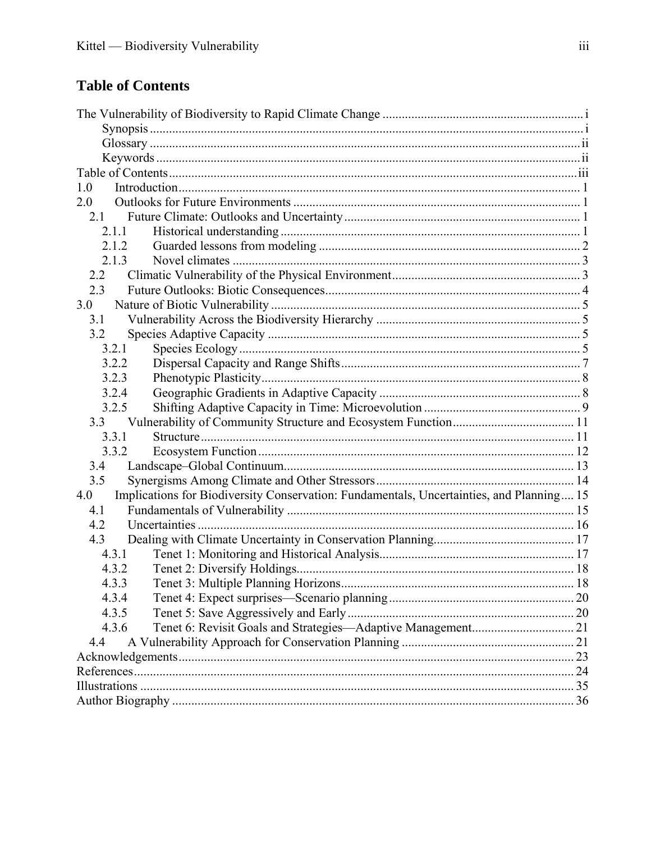# <span id="page-2-0"></span>**Table of Contents**

| 1.0                                                                                             |  |
|-------------------------------------------------------------------------------------------------|--|
| 2.0                                                                                             |  |
| 21                                                                                              |  |
| 2.1.1                                                                                           |  |
| 2.1.2                                                                                           |  |
| 2.1.3                                                                                           |  |
| 2.2                                                                                             |  |
| 2.3                                                                                             |  |
| 3.0                                                                                             |  |
| 3.1                                                                                             |  |
| 3.2                                                                                             |  |
| 3.2.1                                                                                           |  |
| 3.2.2                                                                                           |  |
| 3.2.3                                                                                           |  |
| 3.2.4                                                                                           |  |
| 3.2.5                                                                                           |  |
| 3.3                                                                                             |  |
| 3.3.1                                                                                           |  |
| 3.3.2                                                                                           |  |
| 3.4                                                                                             |  |
| 3.5                                                                                             |  |
| Implications for Biodiversity Conservation: Fundamentals, Uncertainties, and Planning 15<br>4.0 |  |
| 4.1                                                                                             |  |
| 4.2                                                                                             |  |
| 4.3                                                                                             |  |
| 4.3.1                                                                                           |  |
| 4.3.2                                                                                           |  |
| 4.3.3                                                                                           |  |
| 4.3.4                                                                                           |  |
| 4.3.5                                                                                           |  |
| 4.3.6                                                                                           |  |
| 4.4                                                                                             |  |
|                                                                                                 |  |
|                                                                                                 |  |
|                                                                                                 |  |
|                                                                                                 |  |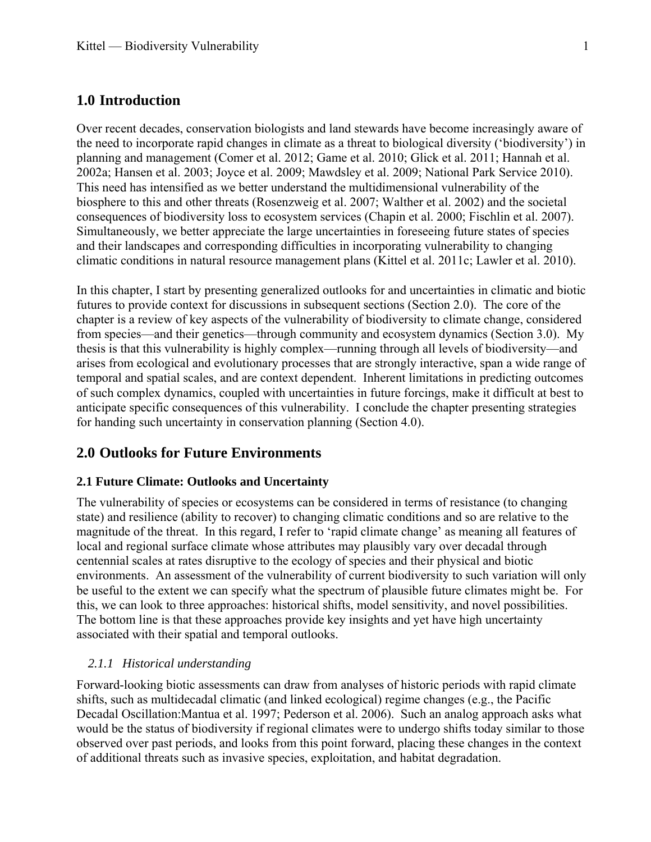# <span id="page-3-0"></span>**1.0 Introduction**

Over recent decades, conservation biologists and land stewards have become increasingly aware of the need to incorporate rapid changes in climate as a threat to biological diversity ('biodiversity') in planning and management ([Comer et al. 2012;](#page-27-0) [Game et al. 2010;](#page-29-0) [Glick et al. 2011](#page-29-1); [Hannah et al.](#page-29-2)  [2002a](#page-29-2); [Hansen et al. 2003;](#page-29-3) [Joyce et al. 2009;](#page-31-0) [Mawdsley et al. 2009;](#page-32-0) [National Park Service 2010](#page-32-1)). This need has intensified as we better understand the multidimensional vulnerability of the biosphere to this and other threats [\(Rosenzweig et al. 2007](#page-34-0); [Walther et al. 2002\)](#page-35-0) and the societal consequences of biodiversity loss to ecosystem services ([Chapin et al. 2000;](#page-27-1) [Fischlin et al. 2007](#page-29-4)). Simultaneously, we better appreciate the large uncertainties in foreseeing future states of species and their landscapes and corresponding difficulties in incorporating vulnerability to changing climatic conditions in natural resource management plans ([Kittel et al. 2011c;](#page-31-1) [Lawler et al. 2010](#page-31-2)).

In this chapter, I start by presenting generalized outlooks for and uncertainties in climatic and biotic futures to provide context for discussions in subsequent sections (Section 2.0). The core of the chapter is a review of key aspects of the vulnerability of biodiversity to climate change, considered from species—and their genetics—through community and ecosystem dynamics (Section 3.0). My thesis is that this vulnerability is highly complex—running through all levels of biodiversity—and arises from ecological and evolutionary processes that are strongly interactive, span a wide range of temporal and spatial scales, and are context dependent. Inherent limitations in predicting outcomes of such complex dynamics, coupled with uncertainties in future forcings, make it difficult at best to anticipate specific consequences of this vulnerability. I conclude the chapter presenting strategies for handing such uncertainty in conservation planning (Section 4.0).

# <span id="page-3-1"></span>**2.0 Outlooks for Future Environments**

#### <span id="page-3-2"></span>**2.1 Future Climate: Outlooks and Uncertainty**

The vulnerability of species or ecosystems can be considered in terms of resistance (to changing state) and resilience (ability to recover) to changing climatic conditions and so are relative to the magnitude of the threat. In this regard, I refer to 'rapid climate change' as meaning all features of local and regional surface climate whose attributes may plausibly vary over decadal through centennial scales at rates disruptive to the ecology of species and their physical and biotic environments. An assessment of the vulnerability of current biodiversity to such variation will only be useful to the extent we can specify what the spectrum of plausible future climates might be. For this, we can look to three approaches: historical shifts, model sensitivity, and novel possibilities. The bottom line is that these approaches provide key insights and yet have high uncertainty associated with their spatial and temporal outlooks.

#### *2.1.1 Historical understanding*

<span id="page-3-3"></span>Forward-looking biotic assessments can draw from analyses of historic periods with rapid climate shifts, such as multidecadal climatic (and linked ecological) regime changes (e.g., the Pacific Decadal Oscillation[:Mantua et al. 1997](#page-32-2); [Pederson et al. 2006\)](#page-33-0). Such an analog approach asks what would be the status of biodiversity if regional climates were to undergo shifts today similar to those observed over past periods, and looks from this point forward, placing these changes in the context of additional threats such as invasive species, exploitation, and habitat degradation.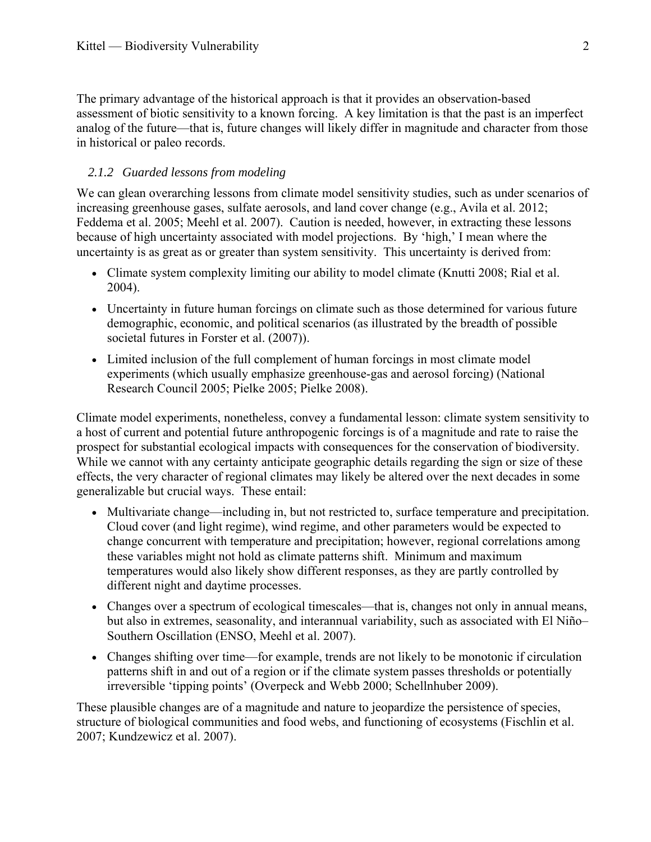The primary advantage of the historical approach is that it provides an observation-based assessment of biotic sensitivity to a known forcing. A key limitation is that the past is an imperfect analog of the future—that is, future changes will likely differ in magnitude and character from those in historical or paleo records.

#### *2.1.2 Guarded lessons from modeling*

<span id="page-4-0"></span>We can glean overarching lessons from climate model sensitivity studies, such as under scenarios of increasing greenhouse gases, sulfate aerosols, and land cover change (e.g., [Avila et al. 2012](#page-26-1); [Feddema et al. 2005](#page-28-0); [Meehl et al. 2007\)](#page-32-3). Caution is needed, however, in extracting these lessons because of high uncertainty associated with model projections. By 'high,' I mean where the uncertainty is as great as or greater than system sensitivity. This uncertainty is derived from:

- Climate system complexity limiting our ability to model climate [\(Knutti 2008](#page-31-3); [Rial et al.](#page-34-1)  [2004\)](#page-34-1).
- Uncertainty in future human forcings on climate such as those determined for various future demographic, economic, and political scenarios (as illustrated by the breadth of possible societal futures in Forster et al. [\(2007](#page-29-5))).
- Limited inclusion of the full complement of human forcings in most climate model experiments (which usually emphasize greenhouse-gas and aerosol forcing) [\(National](#page-32-4)  [Research Council 2005;](#page-32-4) [Pielke 2005](#page-33-1); [Pielke 2008](#page-33-2)).

Climate model experiments, nonetheless, convey a fundamental lesson: climate system sensitivity to a host of current and potential future anthropogenic forcings is of a magnitude and rate to raise the prospect for substantial ecological impacts with consequences for the conservation of biodiversity. While we cannot with any certainty anticipate geographic details regarding the sign or size of these effects, the very character of regional climates may likely be altered over the next decades in some generalizable but crucial ways. These entail:

- Multivariate change—including in, but not restricted to, surface temperature and precipitation. Cloud cover (and light regime), wind regime, and other parameters would be expected to change concurrent with temperature and precipitation; however, regional correlations among these variables might not hold as climate patterns shift. Minimum and maximum temperatures would also likely show different responses, as they are partly controlled by different night and daytime processes.
- Changes over a spectrum of ecological timescales—that is, changes not only in annual means, but also in extremes, seasonality, and interannual variability, such as associated with El Niño– Southern Oscillation ([ENSO, Meehl et al. 2007](#page-32-3)).
- Changes shifting over time—for example, trends are not likely to be monotonic if circulation patterns shift in and out of a region or if the climate system passes thresholds or potentially irreversible 'tipping points' ([Overpeck and Webb 2000](#page-33-3); [Schellnhuber 2009](#page-34-2)).

These plausible changes are of a magnitude and nature to jeopardize the persistence of species, structure of biological communities and food webs, and functioning of ecosystems [\(Fischlin et al.](#page-29-4)  [2007](#page-29-4); [Kundzewicz et al. 2007\)](#page-31-4).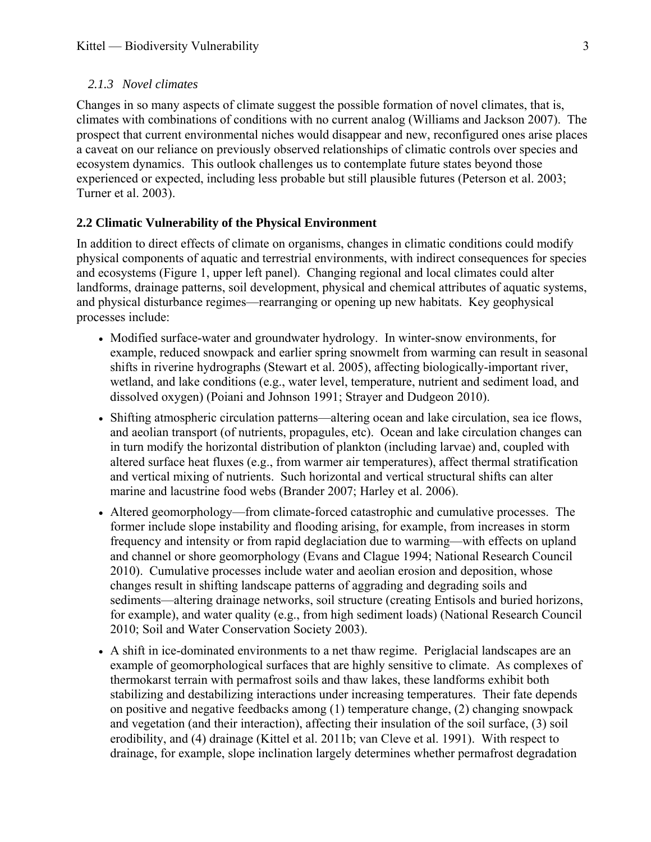#### *2.1.3 Novel climates*

<span id="page-5-0"></span>Changes in so many aspects of climate suggest the possible formation of novel climates, that is, climates with combinations of conditions with no current analog [\(Williams and Jackson 2007\)](#page-36-0). The prospect that current environmental niches would disappear and new, reconfigured ones arise places a caveat on our reliance on previously observed relationships of climatic controls over species and ecosystem dynamics. This outlook challenges us to contemplate future states beyond those experienced or expected, including less probable but still plausible futures ([Peterson et al. 2003;](#page-33-4) [Turner et al. 2003\)](#page-35-1).

# <span id="page-5-1"></span>**2.2 Climatic Vulnerability of the Physical Environment**

In addition to direct effects of climate on organisms, changes in climatic conditions could modify physical components of aquatic and terrestrial environments, with indirect consequences for species and ecosystems (Figure 1, upper left panel). Changing regional and local climates could alter landforms, drainage patterns, soil development, physical and chemical attributes of aquatic systems, and physical disturbance regimes—rearranging or opening up new habitats. Key geophysical processes include:

- Modified surface-water and groundwater hydrology. In winter-snow environments, for example, reduced snowpack and earlier spring snowmelt from warming can result in seasonal shifts in riverine hydrographs [\(Stewart et al. 2005](#page-35-2)), affecting biologically-important river, wetland, and lake conditions (e.g., water level, temperature, nutrient and sediment load, and dissolved oxygen) [\(Poiani and Johnson 1991;](#page-33-5) [Strayer and Dudgeon 2010\)](#page-35-3).
- Shifting atmospheric circulation patterns—altering ocean and lake circulation, sea ice flows, and aeolian transport (of nutrients, propagules, etc). Ocean and lake circulation changes can in turn modify the horizontal distribution of plankton (including larvae) and, coupled with altered surface heat fluxes (e.g., from warmer air temperatures), affect thermal stratification and vertical mixing of nutrients. Such horizontal and vertical structural shifts can alter marine and lacustrine food webs ([Brander 2007](#page-27-2); [Harley et al. 2006\)](#page-29-6).
- Altered geomorphology—from climate-forced catastrophic and cumulative processes. The former include slope instability and flooding arising, for example, from increases in storm frequency and intensity or from rapid deglaciation due to warming—with effects on upland and channel or shore geomorphology [\(Evans and Clague 1994;](#page-28-1) [National Research Council](#page-32-5)  [2010\)](#page-32-5). Cumulative processes include water and aeolian erosion and deposition, whose changes result in shifting landscape patterns of aggrading and degrading soils and sediments—altering drainage networks, soil structure (creating Entisols and buried horizons, for example), and water quality (e.g., from high sediment loads) [\(National Research Council](#page-32-5)  [2010;](#page-32-5) [Soil and Water Conservation Society 2003\)](#page-34-3).
- A shift in ice-dominated environments to a net thaw regime. Periglacial landscapes are an example of geomorphological surfaces that are highly sensitive to climate. As complexes of thermokarst terrain with permafrost soils and thaw lakes, these landforms exhibit both stabilizing and destabilizing interactions under increasing temperatures. Their fate depends on positive and negative feedbacks among (1) temperature change, (2) changing snowpack and vegetation (and their interaction), affecting their insulation of the soil surface, (3) soil erodibility, and (4) drainage [\(Kittel et al. 2011b;](#page-31-5) [van Cleve et al. 1991\)](#page-35-4). With respect to drainage, for example, slope inclination largely determines whether permafrost degradation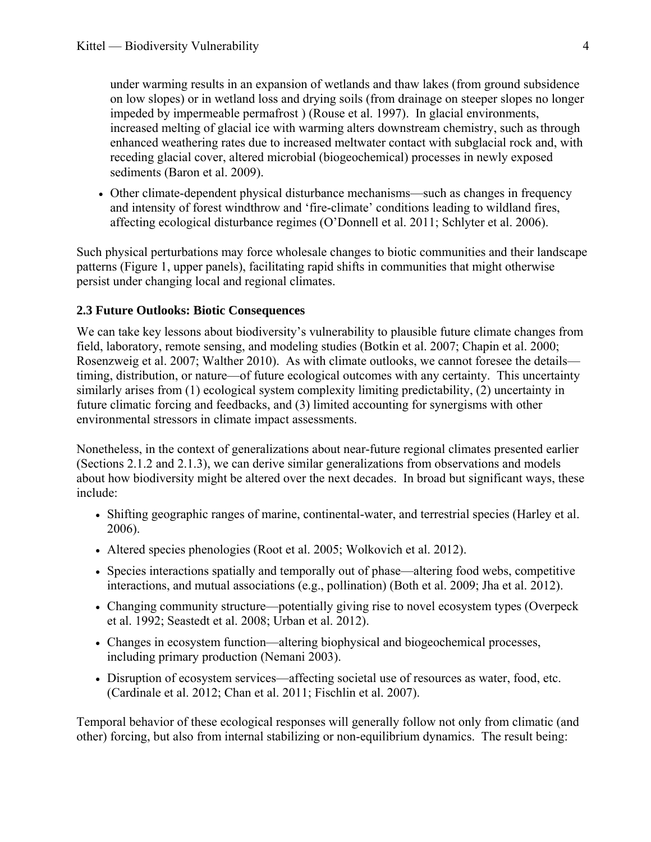under warming results in an expansion of wetlands and thaw lakes (from ground subsidence on low slopes) or in wetland loss and drying soils (from drainage on steeper slopes no longer impeded by impermeable permafrost ) (Rouse et al. 1997). In glacial environments, increased melting of glacial ice with warming alters downstream chemistry, such as through enhanced weathering rates due to increased meltwater contact with subglacial rock and, with receding glacial cover, altered microbial (biogeochemical) processes in newly exposed sediments (Baron et al. 2009).

 Other climate-dependent physical disturbance mechanisms—such as changes in frequency and intensity of forest windthrow and 'fire-climate' conditions leading to wildland fires, affecting ecological disturbance regimes ([O'Donnell et al. 2011;](#page-32-6) [Schlyter et al. 2006](#page-34-4)).

Such physical perturbations may force wholesale changes to biotic communities and their landscape patterns (Figure 1, upper panels), facilitating rapid shifts in communities that might otherwise persist under changing local and regional climates.

# <span id="page-6-0"></span>**2.3 Future Outlooks: Biotic Consequences**

We can take key lessons about biodiversity's vulnerability to plausible future climate changes from field, laboratory, remote sensing, and modeling studies ([Botkin et al. 2007;](#page-27-3) [Chapin et al. 2000;](#page-27-1) [Rosenzweig et al. 2007](#page-34-0); [Walther 2010\)](#page-35-5). As with climate outlooks, we cannot foresee the details timing, distribution, or nature—of future ecological outcomes with any certainty. This uncertainty similarly arises from (1) ecological system complexity limiting predictability, (2) uncertainty in future climatic forcing and feedbacks, and (3) limited accounting for synergisms with other environmental stressors in climate impact assessments.

Nonetheless, in the context of generalizations about near-future regional climates presented earlier (Sections 2.1.2 and 2.1.3), we can derive similar generalizations from observations and models about how biodiversity might be altered over the next decades. In broad but significant ways, these include:

- Shifting geographic ranges of marine, continental-water, and terrestrial species [\(Harley et al.](#page-29-6)  [2006\)](#page-29-6).
- Altered species phenologies [\(Root et al. 2005](#page-34-5); [Wolkovich et al. 2012](#page-36-1)).
- Species interactions spatially and temporally out of phase—altering food webs, competitive interactions, and mutual associations (e.g., pollination) ([Both et al. 2009](#page-27-4); [Jha et al. 2012\)](#page-30-0).
- Changing community structure—potentially giving rise to novel ecosystem types ([Overpeck](#page-33-6)  [et al. 1992](#page-33-6); [Seastedt et al. 2008;](#page-34-6) [Urban et al. 2012](#page-35-6)).
- Changes in ecosystem function—altering biophysical and biogeochemical processes, including primary production [\(Nemani 2003](#page-32-7)).
- Disruption of ecosystem services—affecting societal use of resources as water, food, etc. ([Cardinale et al. 2012;](#page-27-5) [Chan et al. 2011;](#page-27-6) [Fischlin et al. 2007](#page-29-4)).

Temporal behavior of these ecological responses will generally follow not only from climatic (and other) forcing, but also from internal stabilizing or non-equilibrium dynamics. The result being: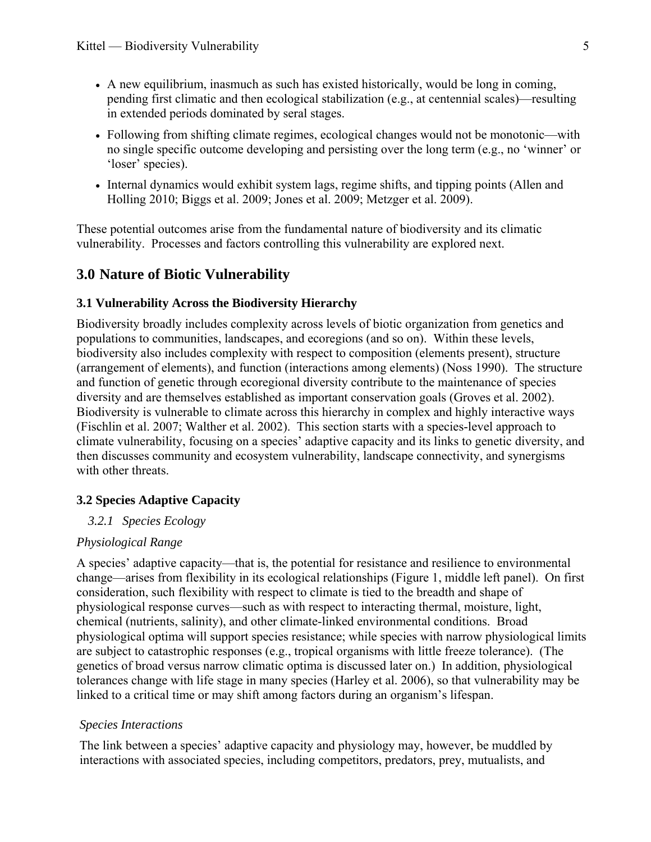- A new equilibrium, inasmuch as such has existed historically, would be long in coming, pending first climatic and then ecological stabilization (e.g., at centennial scales)—resulting in extended periods dominated by seral stages.
- Following from shifting climate regimes, ecological changes would not be monotonic—with no single specific outcome developing and persisting over the long term (e.g., no 'winner' or 'loser' species).
- Internal dynamics would exhibit system lags, regime shifts, and tipping points [\(Allen and](#page-36-2)  [Holling 2010](#page-36-2); [Biggs et al. 2009](#page-27-7); [Jones et al. 2009](#page-31-6); [Metzger et al. 2009](#page-32-8)).

These potential outcomes arise from the fundamental nature of biodiversity and its climatic vulnerability. Processes and factors controlling this vulnerability are explored next.

# <span id="page-7-0"></span>**3.0 Nature of Biotic Vulnerability**

#### <span id="page-7-1"></span>**3.1 Vulnerability Across the Biodiversity Hierarchy**

Biodiversity broadly includes complexity across levels of biotic organization from genetics and populations to communities, landscapes, and ecoregions (and so on). Within these levels, biodiversity also includes complexity with respect to composition (elements present), structure (arrangement of elements), and function (interactions among elements) [\(Noss 1990](#page-32-9)). The structure and function of genetic through ecoregional diversity contribute to the maintenance of species diversity and are themselves established as important conservation goals ([Groves et al. 2002\)](#page-29-7). Biodiversity is vulnerable to climate across this hierarchy in complex and highly interactive ways ([Fischlin et al. 2007;](#page-29-4) [Walther et al. 2002](#page-35-0)). This section starts with a species-level approach to climate vulnerability, focusing on a species' adaptive capacity and its links to genetic diversity, and then discusses community and ecosystem vulnerability, landscape connectivity, and synergisms with other threats.

# <span id="page-7-3"></span><span id="page-7-2"></span>**3.2 Species Adaptive Capacity**

#### *3.2.1 Species Ecology*

#### *Physiological Range*

A species' adaptive capacity—that is, the potential for resistance and resilience to environmental change—arises from flexibility in its ecological relationships (Figure 1, middle left panel). On first consideration, such flexibility with respect to climate is tied to the breadth and shape of physiological response curves—such as with respect to interacting thermal, moisture, light, chemical (nutrients, salinity), and other climate-linked environmental conditions. Broad physiological optima will support species resistance; while species with narrow physiological limits are subject to catastrophic responses (e.g., tropical organisms with little freeze tolerance). (The genetics of broad versus narrow climatic optima is discussed later on.) In addition, physiological tolerances change with life stage in many species [\(Harley et al. 2006](#page-29-6)), so that vulnerability may be linked to a critical time or may shift among factors during an organism's lifespan.

#### *Species Interactions*

The link between a species' adaptive capacity and physiology may, however, be muddled by interactions with associated species, including competitors, predators, prey, mutualists, and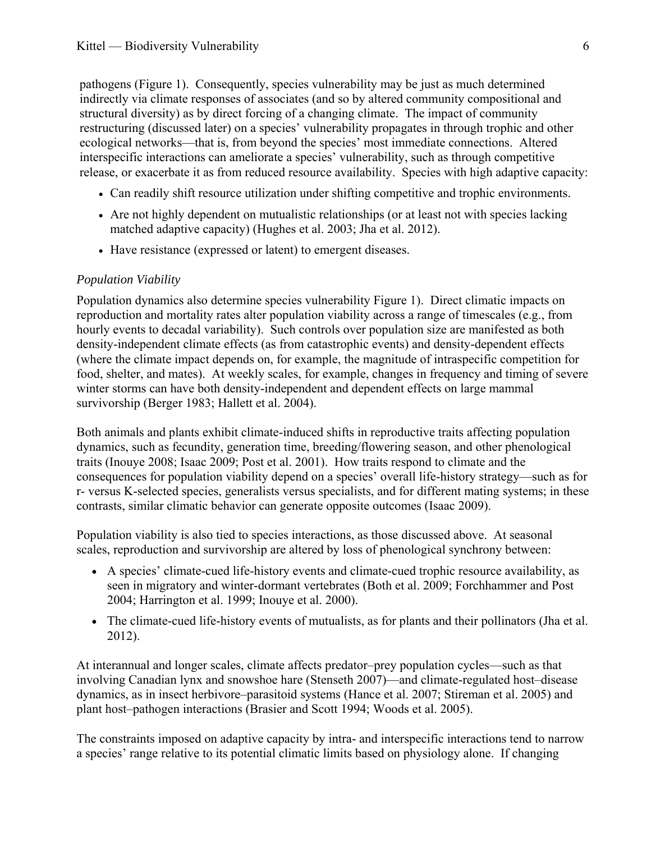pathogens (Figure 1). Consequently, species vulnerability may be just as much determined indirectly via climate responses of associates (and so by altered community compositional and structural diversity) as by direct forcing of a changing climate. The impact of community restructuring (discussed later) on a species' vulnerability propagates in through trophic and other ecological networks—that is, from beyond the species' most immediate connections. Altered interspecific interactions can ameliorate a species' vulnerability, such as through competitive release, or exacerbate it as from reduced resource availability. Species with high adaptive capacity:

- Can readily shift resource utilization under shifting competitive and trophic environments.
- Are not highly dependent on mutualistic relationships (or at least not with species lacking matched adaptive capacity) ([Hughes et al. 2003;](#page-30-1) [Jha et al. 2012](#page-30-0)).
- Have resistance (expressed or latent) to emergent diseases.

#### *Population Viability*

Population dynamics also determine species vulnerability Figure 1). Direct climatic impacts on reproduction and mortality rates alter population viability across a range of timescales (e.g., from hourly events to decadal variability). Such controls over population size are manifested as both density-independent climate effects (as from catastrophic events) and density-dependent effects (where the climate impact depends on, for example, the magnitude of intraspecific competition for food, shelter, and mates). At weekly scales, for example, changes in frequency and timing of severe winter storms can have both density-independent and dependent effects on large mammal survivorship ([Berger 1983;](#page-26-2) [Hallett et al. 2004\)](#page-29-8).

Both animals and plants exhibit climate-induced shifts in reproductive traits affecting population dynamics, such as fecundity, generation time, breeding/flowering season, and other phenological traits [\(Inouye 2008](#page-30-2); [Isaac 2009](#page-30-3); [Post et al. 2001\)](#page-33-7). How traits respond to climate and the consequences for population viability depend on a species' overall life-history strategy—such as for r- versus K-selected species, generalists versus specialists, and for different mating systems; in these contrasts, similar climatic behavior can generate opposite outcomes ([Isaac 2009](#page-30-3)).

Population viability is also tied to species interactions, as those discussed above. At seasonal scales, reproduction and survivorship are altered by loss of phenological synchrony between:

- A species' climate-cued life-history events and climate-cued trophic resource availability, as seen in migratory and winter-dormant vertebrates [\(Both et al. 2009](#page-27-4); [Forchhammer and Post](#page-29-9)  [2004;](#page-29-9) [Harrington et al. 1999](#page-30-4); [Inouye et al. 2000](#page-30-5)).
- The climate-cued life-history events of mutualists, as for plants and their pollinators [\(Jha et al.](#page-30-0)  [2012\)](#page-30-0).

At interannual and longer scales, climate affects predator–prey population cycles—such as that involving Canadian lynx and snowshoe hare ([Stenseth 2007\)](#page-35-7)—and climate-regulated host–disease dynamics, as in insect herbivore–parasitoid systems ([Hance et al. 2007;](#page-29-10) [Stireman et al. 2005](#page-35-8)) and plant host–pathogen interactions [\(Brasier and Scott 1994;](#page-27-8) [Woods et al. 2005](#page-36-3)).

The constraints imposed on adaptive capacity by intra- and interspecific interactions tend to narrow a species' range relative to its potential climatic limits based on physiology alone. If changing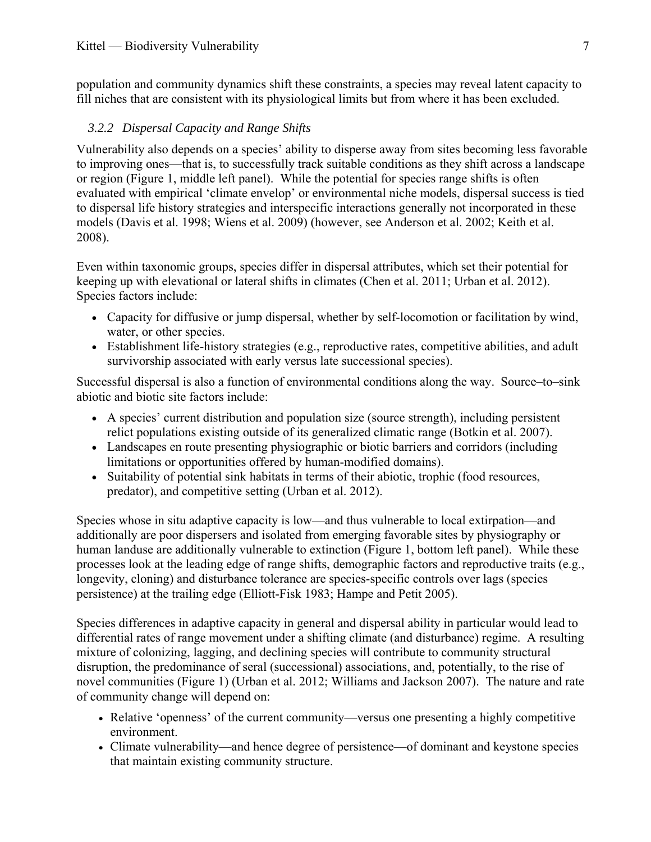population and community dynamics shift these constraints, a species may reveal latent capacity to fill niches that are consistent with its physiological limits but from where it has been excluded.

#### *3.2.2 Dispersal Capacity and Range Shifts*

<span id="page-9-0"></span>Vulnerability also depends on a species' ability to disperse away from sites becoming less favorable to improving ones—that is, to successfully track suitable conditions as they shift across a landscape or region (Figure 1, middle left panel). While the potential for species range shifts is often evaluated with empirical 'climate envelop' or environmental niche models, dispersal success is tied to dispersal life history strategies and interspecific interactions generally not incorporated in these models ([Davis et al. 1998](#page-28-2); [Wiens et al. 2009](#page-36-4)) (however, see [Anderson et al. 2002;](#page-26-3) [Keith et al.](#page-31-7)  [2008](#page-31-7)).

Even within taxonomic groups, species differ in dispersal attributes, which set their potential for keeping up with elevational or lateral shifts in climates [\(Chen et al. 2011;](#page-27-9) [Urban et al. 2012](#page-35-6)). Species factors include:

- Capacity for diffusive or jump dispersal, whether by self-locomotion or facilitation by wind, water, or other species.
- Establishment life-history strategies (e.g., reproductive rates, competitive abilities, and adult survivorship associated with early versus late successional species).

Successful dispersal is also a function of environmental conditions along the way. Source–to–sink abiotic and biotic site factors include:

- A species' current distribution and population size (source strength), including persistent relict populations existing outside of its generalized climatic range ([Botkin et al. 2007](#page-27-3)).
- Landscapes en route presenting physiographic or biotic barriers and corridors (including limitations or opportunities offered by human-modified domains).
- Suitability of potential sink habitats in terms of their abiotic, trophic (food resources, predator), and competitive setting ([Urban et al. 2012](#page-35-6)).

Species whose in situ adaptive capacity is low—and thus vulnerable to local extirpation—and additionally are poor dispersers and isolated from emerging favorable sites by physiography or human landuse are additionally vulnerable to extinction (Figure 1, bottom left panel). While these processes look at the leading edge of range shifts, demographic factors and reproductive traits (e.g., longevity, cloning) and disturbance tolerance are species-specific controls over lags (species persistence) at the trailing edge ([Elliott-Fisk 1983;](#page-28-3) [Hampe and Petit 2005\)](#page-29-11).

Species differences in adaptive capacity in general and dispersal ability in particular would lead to differential rates of range movement under a shifting climate (and disturbance) regime. A resulting mixture of colonizing, lagging, and declining species will contribute to community structural disruption, the predominance of seral (successional) associations, and, potentially, to the rise of novel communities (Figure 1) [\(Urban et al. 2012](#page-35-6); [Williams and Jackson 2007\)](#page-36-0). The nature and rate of community change will depend on:

- Relative 'openness' of the current community—versus one presenting a highly competitive environment.
- Climate vulnerability—and hence degree of persistence—of dominant and keystone species that maintain existing community structure.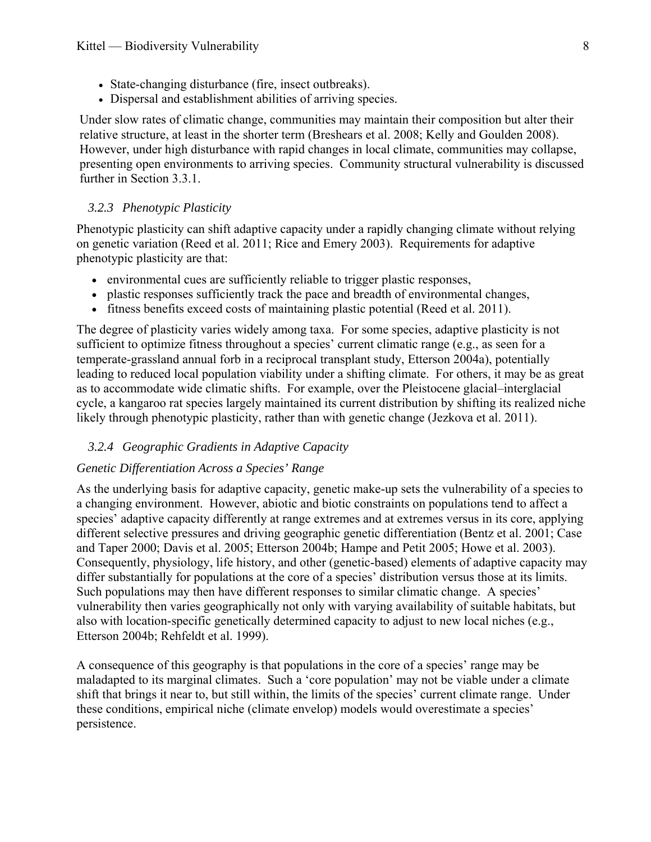- State-changing disturbance (fire, insect outbreaks).
- Dispersal and establishment abilities of arriving species.

Under slow rates of climatic change, communities may maintain their composition but alter their relative structure, at least in the shorter term ([Breshears et al. 2008](#page-27-10); [Kelly and Goulden 2008](#page-31-8)). However, under high disturbance with rapid changes in local climate, communities may collapse, presenting open environments to arriving species. Community structural vulnerability is discussed further in Section 3.3.1.

#### *3.2.3 Phenotypic Plasticity*

<span id="page-10-0"></span>Phenotypic plasticity can shift adaptive capacity under a rapidly changing climate without relying on genetic variation [\(Reed et al. 2011](#page-33-8); [Rice and Emery 2003\)](#page-34-7). Requirements for adaptive phenotypic plasticity are that:

- environmental cues are sufficiently reliable to trigger plastic responses,
- plastic responses sufficiently track the pace and breadth of environmental changes,
- fitness benefits exceed costs of maintaining plastic potential [\(Reed et al. 2011](#page-33-8)).

The degree of plasticity varies widely among taxa. For some species, adaptive plasticity is not sufficient to optimize fitness throughout a species' current climatic range ([e.g., as seen for a](#page-28-4)  [temperate-grassland annual forb in a reciprocal transplant study, Etterson 2004a\)](#page-28-4), potentially leading to reduced local population viability under a shifting climate. For others, it may be as great as to accommodate wide climatic shifts. For example, over the Pleistocene glacial–interglacial cycle, a kangaroo rat species largely maintained its current distribution by shifting its realized niche likely through phenotypic plasticity, rather than with genetic change ([Jezkova et al. 2011\)](#page-30-6).

#### *3.2.4 Geographic Gradients in Adaptive Capacity*

#### <span id="page-10-1"></span>*Genetic Differentiation Across a Species' Range*

As the underlying basis for adaptive capacity, genetic make-up sets the vulnerability of a species to a changing environment. However, abiotic and biotic constraints on populations tend to affect a species' adaptive capacity differently at range extremes and at extremes versus in its core, applying different selective pressures and driving geographic genetic differentiation ([Bentz et al. 2001;](#page-26-4) [Case](#page-27-11)  [and Taper 2000](#page-27-11); [Davis et al. 2005;](#page-28-5) [Etterson 2004b](#page-28-6); [Hampe and Petit 2005;](#page-29-11) [Howe et al. 2003\)](#page-30-7). Consequently, physiology, life history, and other (genetic-based) elements of adaptive capacity may differ substantially for populations at the core of a species' distribution versus those at its limits. Such populations may then have different responses to similar climatic change. A species' vulnerability then varies geographically not only with varying availability of suitable habitats, but also with location-specific genetically determined capacity to adjust to new local niches (e.g., [Etterson 2004b;](#page-28-6) [Rehfeldt et al. 1999\)](#page-33-9).

A consequence of this geography is that populations in the core of a species' range may be maladapted to its marginal climates. Such a 'core population' may not be viable under a climate shift that brings it near to, but still within, the limits of the species' current climate range. Under these conditions, empirical niche (climate envelop) models would overestimate a species' persistence.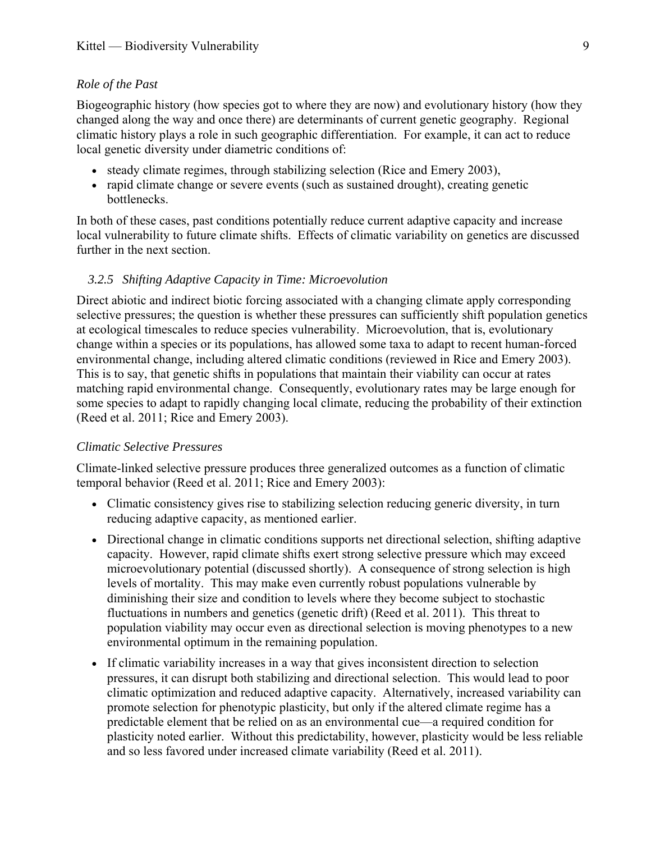#### *Role of the Past*

Biogeographic history (how species got to where they are now) and evolutionary history (how they changed along the way and once there) are determinants of current genetic geography. Regional climatic history plays a role in such geographic differentiation. For example, it can act to reduce local genetic diversity under diametric conditions of:

- steady climate regimes, through stabilizing selection ([Rice and Emery 2003\)](#page-34-7),
- rapid climate change or severe events (such as sustained drought), creating genetic bottlenecks.

In both of these cases, past conditions potentially reduce current adaptive capacity and increase local vulnerability to future climate shifts. Effects of climatic variability on genetics are discussed further in the next section.

#### *3.2.5 Shifting Adaptive Capacity in Time: Microevolution*

<span id="page-11-0"></span>Direct abiotic and indirect biotic forcing associated with a changing climate apply corresponding selective pressures; the question is whether these pressures can sufficiently shift population genetics at ecological timescales to reduce species vulnerability. Microevolution, that is, evolutionary change within a species or its populations, has allowed some taxa to adapt to recent human-forced environmental change, including altered climatic conditions ([reviewed in Rice and Emery 2003](#page-34-7)). This is to say, that genetic shifts in populations that maintain their viability can occur at rates matching rapid environmental change. Consequently, evolutionary rates may be large enough for some species to adapt to rapidly changing local climate, reducing the probability of their extinction ([Reed et al. 2011;](#page-33-8) [Rice and Emery 2003\)](#page-34-7).

#### *Climatic Selective Pressures*

Climate-linked selective pressure produces three generalized outcomes as a function of climatic temporal behavior ([Reed et al. 2011;](#page-33-8) [Rice and Emery 2003](#page-34-7)):

- Climatic consistency gives rise to stabilizing selection reducing generic diversity, in turn reducing adaptive capacity, as mentioned earlier.
- Directional change in climatic conditions supports net directional selection, shifting adaptive capacity. However, rapid climate shifts exert strong selective pressure which may exceed microevolutionary potential (discussed shortly). A consequence of strong selection is high levels of mortality. This may make even currently robust populations vulnerable by diminishing their size and condition to levels where they become subject to stochastic fluctuations in numbers and genetics (genetic drift) [\(Reed et al. 2011\)](#page-33-8). This threat to population viability may occur even as directional selection is moving phenotypes to a new environmental optimum in the remaining population.
- If climatic variability increases in a way that gives inconsistent direction to selection pressures, it can disrupt both stabilizing and directional selection. This would lead to poor climatic optimization and reduced adaptive capacity. Alternatively, increased variability can promote selection for phenotypic plasticity, but only if the altered climate regime has a predictable element that be relied on as an environmental cue—a required condition for plasticity noted earlier. Without this predictability, however, plasticity would be less reliable and so less favored under increased climate variability ([Reed et al. 2011\)](#page-33-8).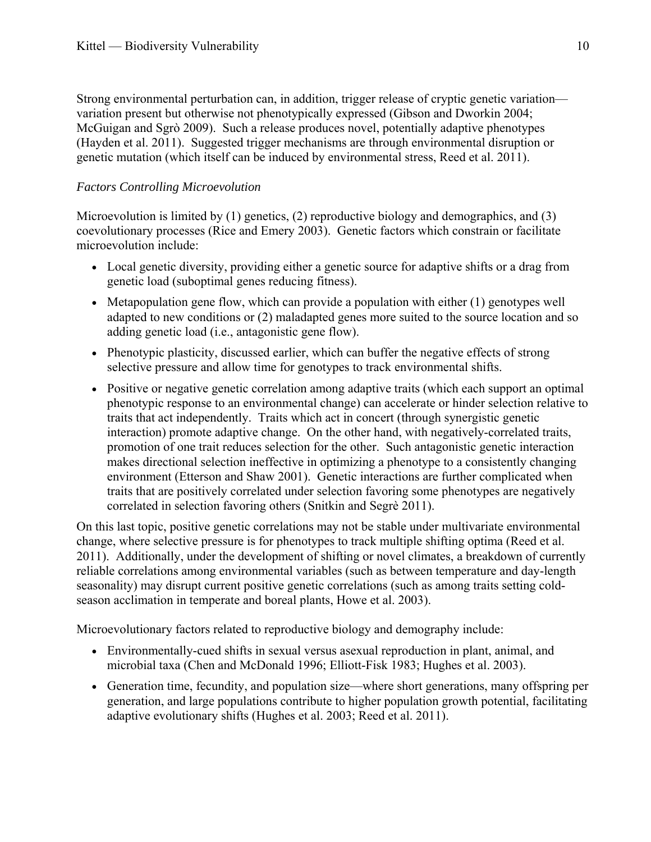Strong environmental perturbation can, in addition, trigger release of cryptic genetic variation variation present but otherwise not phenotypically expressed [\(Gibson and Dworkin 2004;](#page-29-12) [McGuigan and Sgrò 2009](#page-32-10)). Such a release produces novel, potentially adaptive phenotypes ([Hayden et al. 2011\)](#page-30-8). Suggested trigger mechanisms are through environmental disruption or genetic mutation [\(which itself can be induced by environmental stress, Reed et al. 2011\)](#page-33-8).

# *Factors Controlling Microevolution*

Microevolution is limited by (1) genetics, (2) reproductive biology and demographics, and (3) coevolutionary processes ([Rice and Emery 2003](#page-34-7)). Genetic factors which constrain or facilitate microevolution include:

- Local genetic diversity, providing either a genetic source for adaptive shifts or a drag from genetic load (suboptimal genes reducing fitness).
- Metapopulation gene flow, which can provide a population with either (1) genotypes well adapted to new conditions or (2) maladapted genes more suited to the source location and so adding genetic load (i.e., antagonistic gene flow).
- Phenotypic plasticity, discussed earlier, which can buffer the negative effects of strong selective pressure and allow time for genotypes to track environmental shifts.
- Positive or negative genetic correlation among adaptive traits (which each support an optimal phenotypic response to an environmental change) can accelerate or hinder selection relative to traits that act independently. Traits which act in concert (through synergistic genetic interaction) promote adaptive change. On the other hand, with negatively-correlated traits, promotion of one trait reduces selection for the other. Such antagonistic genetic interaction makes directional selection ineffective in optimizing a phenotype to a consistently changing environment [\(Etterson and Shaw 2001](#page-28-7)). Genetic interactions are further complicated when traits that are positively correlated under selection favoring some phenotypes are negatively correlated in selection favoring others ([Snitkin and Segrè 2011](#page-34-8)).

On this last topic, positive genetic correlations may not be stable under multivariate environmental change, where selective pressure is for phenotypes to track multiple shifting optima [\(Reed et al.](#page-33-8)  [2011\)](#page-33-8). Additionally, under the development of shifting or novel climates, a breakdown of currently reliable correlations among environmental variables (such as between temperature and day-length seasonality) may disrupt current positive genetic correlations ([such as among traits setting cold](#page-30-7)[season acclimation in temperate and boreal plants, Howe et al. 2003\)](#page-30-7).

Microevolutionary factors related to reproductive biology and demography include:

- Environmentally-cued shifts in sexual versus asexual reproduction in plant, animal, and microbial taxa ([Chen and McDonald 1996;](#page-27-12) [Elliott-Fisk 1983;](#page-28-3) [Hughes et al. 2003](#page-30-1)).
- Generation time, fecundity, and population size—where short generations, many offspring per generation, and large populations contribute to higher population growth potential, facilitating adaptive evolutionary shifts [\(Hughes et al. 2003](#page-30-1); [Reed et al. 2011](#page-33-8)).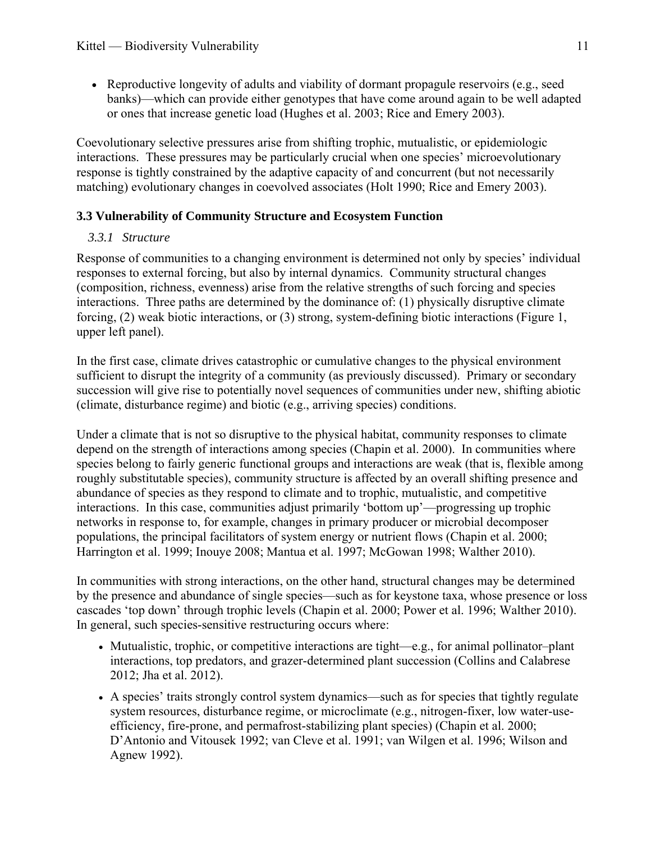• Reproductive longevity of adults and viability of dormant propagule reservoirs (e.g., seed banks)—which can provide either genotypes that have come around again to be well adapted or ones that increase genetic load [\(Hughes et al. 2003](#page-30-1); [Rice and Emery 2003](#page-34-7)).

Coevolutionary selective pressures arise from shifting trophic, mutualistic, or epidemiologic interactions. These pressures may be particularly crucial when one species' microevolutionary response is tightly constrained by the adaptive capacity of and concurrent (but not necessarily matching) evolutionary changes in coevolved associates ([Holt 1990;](#page-30-9) [Rice and Emery 2003\)](#page-34-7).

# <span id="page-13-1"></span><span id="page-13-0"></span>**3.3 Vulnerability of Community Structure and Ecosystem Function**

# *3.3.1 Structure*

Response of communities to a changing environment is determined not only by species' individual responses to external forcing, but also by internal dynamics. Community structural changes (composition, richness, evenness) arise from the relative strengths of such forcing and species interactions. Three paths are determined by the dominance of: (1) physically disruptive climate forcing, (2) weak biotic interactions, or (3) strong, system-defining biotic interactions (Figure 1, upper left panel).

In the first case, climate drives catastrophic or cumulative changes to the physical environment sufficient to disrupt the integrity of a community (as previously discussed). Primary or secondary succession will give rise to potentially novel sequences of communities under new, shifting abiotic (climate, disturbance regime) and biotic (e.g., arriving species) conditions.

Under a climate that is not so disruptive to the physical habitat, community responses to climate depend on the strength of interactions among species [\(Chapin et al. 2000](#page-27-1)). In communities where species belong to fairly generic functional groups and interactions are weak (that is, flexible among roughly substitutable species), community structure is affected by an overall shifting presence and abundance of species as they respond to climate and to trophic, mutualistic, and competitive interactions. In this case, communities adjust primarily 'bottom up'—progressing up trophic networks in response to, for example, changes in primary producer or microbial decomposer populations, the principal facilitators of system energy or nutrient flows ([Chapin et al. 2000;](#page-27-1) [Harrington et al. 1999;](#page-30-4) [Inouye 2008;](#page-30-2) [Mantua et al. 1997;](#page-32-2) [McGowan 1998;](#page-32-11) [Walther 2010\)](#page-35-5).

In communities with strong interactions, on the other hand, structural changes may be determined by the presence and abundance of single species—such as for keystone taxa, whose presence or loss cascades 'top down' through trophic levels [\(Chapin et al. 2000](#page-27-1); [Power et al. 1996;](#page-33-10) [Walther 2010\)](#page-35-5). In general, such species-sensitive restructuring occurs where:

- Mutualistic, trophic, or competitive interactions are tight—e.g., for animal pollinator-plant interactions, top predators, and grazer-determined plant succession [\(Collins and Calabrese](#page-27-13)  [2012;](#page-27-13) [Jha et al. 2012](#page-30-0)).
- A species' traits strongly control system dynamics—such as for species that tightly regulate system resources, disturbance regime, or microclimate (e.g., nitrogen-fixer, low water-useefficiency, fire-prone, and permafrost-stabilizing plant species) ([Chapin et al. 2000;](#page-27-1) [D'Antonio and Vitousek 1992](#page-28-8); [van Cleve et al. 1991](#page-35-4); [van Wilgen et al. 1996;](#page-35-9) [Wilson and](#page-36-5)  [Agnew 1992](#page-36-5)).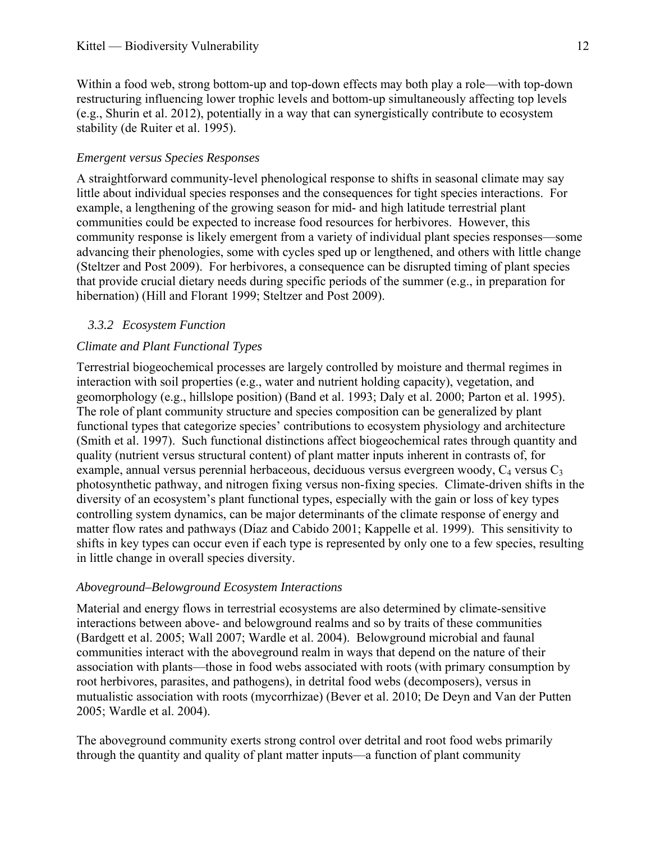Within a food web, strong bottom-up and top-down effects may both play a role—with top-down restructuring influencing lower trophic levels and bottom-up simultaneously affecting top levels ([e.g., Shurin et al. 2012\)](#page-34-9), potentially in a way that can synergistically contribute to ecosystem stability ([de Ruiter et al. 1995](#page-28-9)).

#### *Emergent versus Species Responses*

A straightforward community-level phenological response to shifts in seasonal climate may say little about individual species responses and the consequences for tight species interactions. For example, a lengthening of the growing season for mid- and high latitude terrestrial plant communities could be expected to increase food resources for herbivores. However, this community response is likely emergent from a variety of individual plant species responses—some advancing their phenologies, some with cycles sped up or lengthened, and others with little change ([Steltzer and Post 2009\)](#page-35-10). For herbivores, a consequence can be disrupted timing of plant species that provide crucial dietary needs during specific periods of the summer (e.g., in preparation for hibernation) ([Hill and Florant 1999](#page-30-10); [Steltzer and Post 2009](#page-35-10)).

# *3.3.2 Ecosystem Function*

#### <span id="page-14-0"></span>*Climate and Plant Functional Types*

Terrestrial biogeochemical processes are largely controlled by moisture and thermal regimes in interaction with soil properties (e.g., water and nutrient holding capacity), vegetation, and geomorphology (e.g., hillslope position) [\(Band et al. 1993;](#page-26-5) [Daly et al. 2000;](#page-28-10) [Parton et al. 1995\)](#page-33-11). The role of plant community structure and species composition can be generalized by plant functional types that categorize species' contributions to ecosystem physiology and architecture ([Smith et al. 1997\)](#page-34-10). Such functional distinctions affect biogeochemical rates through quantity and quality (nutrient versus structural content) of plant matter inputs inherent in contrasts of, for example, annual versus perennial herbaceous, deciduous versus evergreen woody,  $C_4$  versus  $C_3$ photosynthetic pathway, and nitrogen fixing versus non-fixing species. Climate-driven shifts in the diversity of an ecosystem's plant functional types, especially with the gain or loss of key types controlling system dynamics, can be major determinants of the climate response of energy and matter flow rates and pathways (Dí[az and Cabido 2001;](#page-28-11) [Kappelle et al. 1999](#page-31-9)). This sensitivity to shifts in key types can occur even if each type is represented by only one to a few species, resulting in little change in overall species diversity.

#### *Aboveground–Belowground Ecosystem Interactions*

Material and energy flows in terrestrial ecosystems are also determined by climate-sensitive interactions between above- and belowground realms and so by traits of these communities ([Bardgett et al. 2005;](#page-26-6) [Wall 2007](#page-35-11); [Wardle et al. 2004](#page-35-12)). Belowground microbial and faunal communities interact with the aboveground realm in ways that depend on the nature of their association with plants—those in food webs associated with roots (with primary consumption by root herbivores, parasites, and pathogens), in detrital food webs (decomposers), versus in mutualistic association with roots (mycorrhizae) ([Bever et al. 2010;](#page-26-7) [De Deyn and Van der Putten](#page-28-12)  [2005](#page-28-12); [Wardle et al. 2004\)](#page-35-12).

The aboveground community exerts strong control over detrital and root food webs primarily through the quantity and quality of plant matter inputs—a function of plant community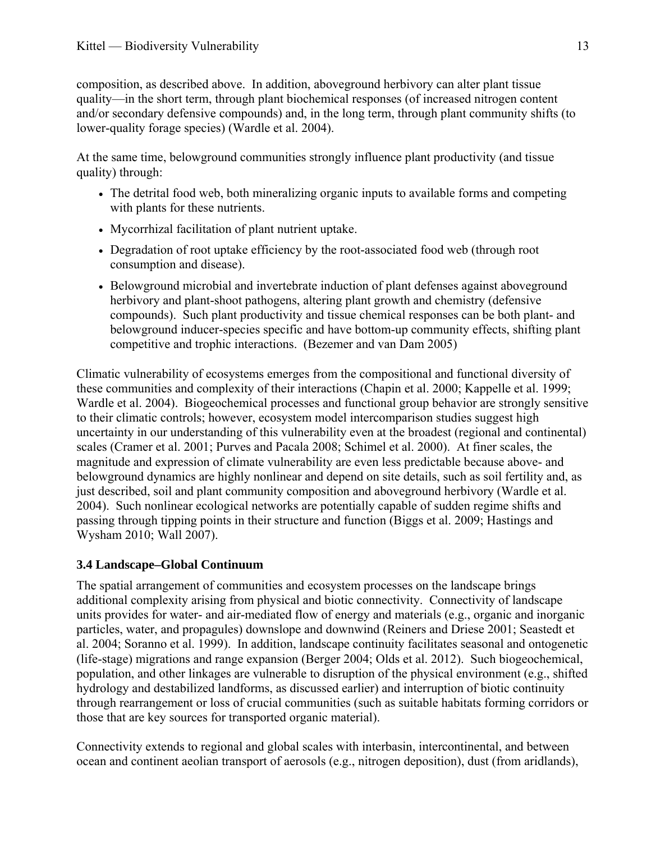composition, as described above. In addition, aboveground herbivory can alter plant tissue quality—in the short term, through plant biochemical responses (of increased nitrogen content and/or secondary defensive compounds) and, in the long term, through plant community shifts (to lower-quality forage species) ([Wardle et al. 2004\)](#page-35-12).

At the same time, belowground communities strongly influence plant productivity (and tissue quality) through:

- The detrital food web, both mineralizing organic inputs to available forms and competing with plants for these nutrients.
- Mycorrhizal facilitation of plant nutrient uptake.
- Degradation of root uptake efficiency by the root-associated food web (through root consumption and disease).
- Belowground microbial and invertebrate induction of plant defenses against aboveground herbivory and plant-shoot pathogens, altering plant growth and chemistry (defensive compounds). Such plant productivity and tissue chemical responses can be both plant- and belowground inducer-species specific and have bottom-up community effects, shifting plant competitive and trophic interactions. ([Bezemer and van Dam 2005](#page-26-8))

Climatic vulnerability of ecosystems emerges from the compositional and functional diversity of these communities and complexity of their interactions ([Chapin et al. 2000;](#page-27-1) [Kappelle et al. 1999;](#page-31-9) [Wardle et al. 2004\)](#page-35-12). Biogeochemical processes and functional group behavior are strongly sensitive to their climatic controls; however, ecosystem model intercomparison studies suggest high uncertainty in our understanding of this vulnerability even at the broadest (regional and continental) scales ([Cramer et al. 2001;](#page-28-13) [Purves and Pacala 2008;](#page-33-12) [Schimel et al. 2000\)](#page-34-11). At finer scales, the magnitude and expression of climate vulnerability are even less predictable because above- and belowground dynamics are highly nonlinear and depend on site details, such as soil fertility and, as just described, soil and plant community composition and aboveground herbivory ([Wardle et al.](#page-35-12)  [2004](#page-35-12)). Such nonlinear ecological networks are potentially capable of sudden regime shifts and passing through tipping points in their structure and function [\(Biggs et al. 2009;](#page-27-7) [Hastings and](#page-30-11)  [Wysham 2010;](#page-30-11) [Wall 2007](#page-35-11)).

# <span id="page-15-0"></span>**3.4 Landscape–Global Continuum**

The spatial arrangement of communities and ecosystem processes on the landscape brings additional complexity arising from physical and biotic connectivity. Connectivity of landscape units provides for water- and air-mediated flow of energy and materials (e.g., organic and inorganic particles, water, and propagules) downslope and downwind [\(Reiners and Driese 2001;](#page-33-13) [Seastedt et](#page-34-12)  [al. 2004;](#page-34-12) [Soranno et al. 1999](#page-34-13)). In addition, landscape continuity facilitates seasonal and ontogenetic (life-stage) migrations and range expansion ([Berger 2004](#page-26-9); [Olds et al. 2012](#page-33-14)). Such biogeochemical, population, and other linkages are vulnerable to disruption of the physical environment (e.g., shifted hydrology and destabilized landforms, as discussed earlier) and interruption of biotic continuity through rearrangement or loss of crucial communities (such as suitable habitats forming corridors or those that are key sources for transported organic material).

Connectivity extends to regional and global scales with interbasin, intercontinental, and between ocean and continent aeolian transport of aerosols (e.g., nitrogen deposition), dust (from aridlands),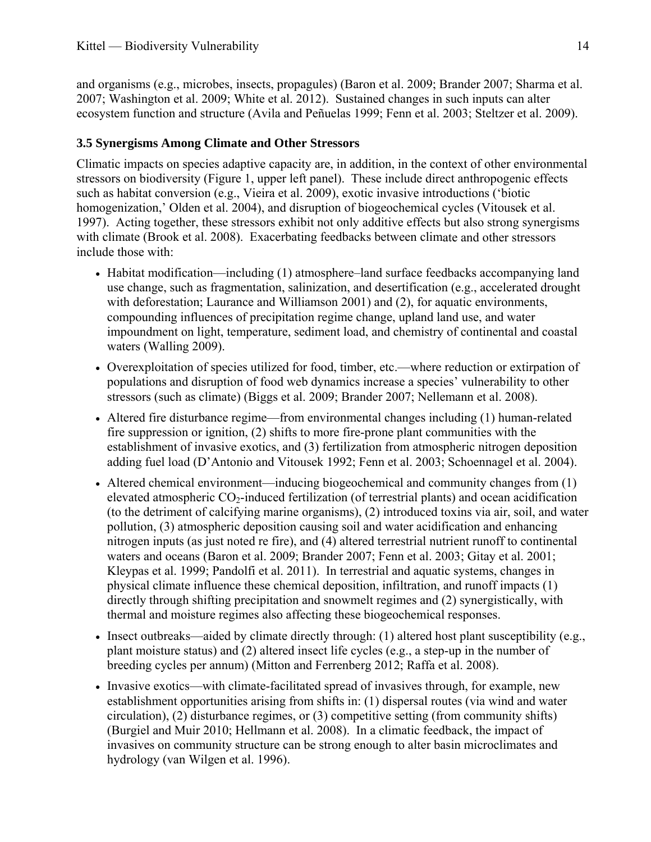and organisms (e.g., microbes, insects, propagules) [\(Baron et al. 2009;](#page-26-10) [Brander 2007;](#page-27-2) [Sharma et al.](#page-34-14)  [2007;](#page-34-14) [Washington et al. 2009;](#page-36-6) [White et al. 2012\)](#page-36-7). Sustained changes in such inputs can alter ecosystem function and structure [\(Avila and Peñuelas 1999](#page-26-11); [Fenn et al. 2003;](#page-28-14) [Steltzer et al. 2009\)](#page-35-13).

#### <span id="page-16-0"></span>**3.5 Synergisms Among Climate and Other Stressors**

Climatic impacts on species adaptive capacity are, in addition, in the context of other environmental stressors on biodiversity (Figure 1, upper left panel). These include direct anthropogenic effects such as habitat conversion [\(e.g., Vieira et al. 2009\)](#page-35-14), exotic invasive introductions (['biotic](#page-32-12)  [homogenization,' Olden et al. 2004\)](#page-32-12), and disruption of biogeochemical cycles ([Vitousek et al.](#page-35-15)  [1997\)](#page-35-15). Acting together, these stressors exhibit not only additive effects but also strong synergisms with climate ([Brook et al. 2008\)](#page-27-14). Exacerbating feedbacks between climate and other stressors include those with:

- Habitat modification—including (1) atmosphere–land surface feedbacks accompanying land use change, such as fragmentation, salinization, and desertification [\(e.g., accelerated drought](#page-31-10)  [with deforestation; Laurance and Williamson 2001](#page-31-10)) and (2), for aquatic environments, compounding influences of precipitation regime change, upland land use, and water impoundment on light, temperature, sediment load, and chemistry of continental and coastal waters [\(Walling 2009\)](#page-35-16).
- Overexploitation of species utilized for food, timber, etc.—where reduction or extirpation of populations and disruption of food web dynamics increase a species' vulnerability to other stressors (such as climate) [\(Biggs et al. 2009;](#page-27-7) [Brander 2007;](#page-27-2) [Nellemann et al. 2008](#page-32-13)).
- Altered fire disturbance regime—from environmental changes including (1) human-related fire suppression or ignition, (2) shifts to more fire-prone plant communities with the establishment of invasive exotics, and (3) fertilization from atmospheric nitrogen deposition adding fuel load ([D'Antonio and Vitousek 1992](#page-28-8); [Fenn et al. 2003](#page-28-14); [Schoennagel et al. 2004](#page-34-15)).
- Altered chemical environment—inducing biogeochemical and community changes from (1) elevated atmospheric CO<sub>2</sub>-induced fertilization (of terrestrial plants) and ocean acidification (to the detriment of calcifying marine organisms), (2) introduced toxins via air, soil, and water pollution, (3) atmospheric deposition causing soil and water acidification and enhancing nitrogen inputs (as just noted re fire), and (4) altered terrestrial nutrient runoff to continental waters and oceans [\(Baron et al. 2009;](#page-26-10) [Brander 2007;](#page-27-2) [Fenn et al. 2003](#page-28-14); [Gitay et al. 2001;](#page-29-13) [Kleypas et al. 1999](#page-31-11); [Pandolfi et al. 2011\)](#page-33-15). In terrestrial and aquatic systems, changes in physical climate influence these chemical deposition, infiltration, and runoff impacts (1) directly through shifting precipitation and snowmelt regimes and (2) synergistically, with thermal and moisture regimes also affecting these biogeochemical responses.
- Insect outbreaks—aided by climate directly through: (1) altered host plant susceptibility (e.g., plant moisture status) and (2) altered insect life cycles (e.g., a step-up in the number of breeding cycles per annum) ([Mitton and Ferrenberg 2012](#page-32-14); [Raffa et al. 2008\)](#page-33-16).
- Invasive exotics—with climate-facilitated spread of invasives through, for example, new establishment opportunities arising from shifts in: (1) dispersal routes (via wind and water circulation), (2) disturbance regimes, or (3) competitive setting (from community shifts) ([Burgiel and Muir 2010](#page-27-15); [Hellmann et al. 2008](#page-30-12)). In a climatic feedback, the impact of invasives on community structure can be strong enough to alter basin microclimates and hydrology [\(van Wilgen et al. 1996](#page-35-9)).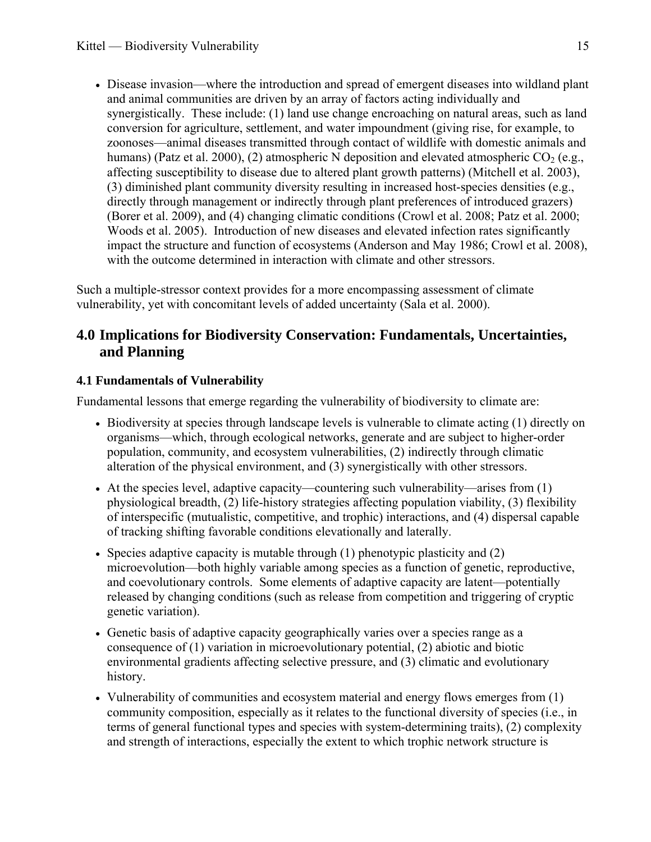Disease invasion—where the introduction and spread of emergent diseases into wildland plant and animal communities are driven by an array of factors acting individually and synergistically. These include: (1) land use change encroaching on natural areas, such as land conversion for agriculture, settlement, and water impoundment (giving rise, for example, to zoonoses—animal diseases transmitted through contact of wildlife with domestic animals and humans) [\(Patz et al. 2000](#page-33-17)), (2) atmospheric N deposition and elevated atmospheric  $CO<sub>2</sub>$  (e.g., affecting susceptibility to disease due to altered plant growth patterns) ([Mitchell et al. 2003\)](#page-32-15), (3) diminished plant community diversity resulting in increased host-species densities (e.g., directly through management or indirectly through plant preferences of introduced grazers) ([Borer et al. 2009](#page-27-16)), and (4) changing climatic conditions [\(Crowl et al. 2008;](#page-28-15) [Patz et al. 2000](#page-33-17); [Woods et al. 2005](#page-36-3)). Introduction of new diseases and elevated infection rates significantly impact the structure and function of ecosystems [\(Anderson and May 1986](#page-26-12); [Crowl et al. 2008\)](#page-28-15), with the outcome determined in interaction with climate and other stressors.

Such a multiple-stressor context provides for a more encompassing assessment of climate vulnerability, yet with concomitant levels of added uncertainty [\(Sala et al. 2000](#page-34-16)).

# <span id="page-17-0"></span>**4.0 Implications for Biodiversity Conservation: Fundamentals, Uncertainties, and Planning**

# <span id="page-17-1"></span>**4.1 Fundamentals of Vulnerability**

Fundamental lessons that emerge regarding the vulnerability of biodiversity to climate are:

- Biodiversity at species through landscape levels is vulnerable to climate acting (1) directly on organisms—which, through ecological networks, generate and are subject to higher-order population, community, and ecosystem vulnerabilities, (2) indirectly through climatic alteration of the physical environment, and (3) synergistically with other stressors.
- At the species level, adaptive capacity—countering such vulnerability—arises from (1) physiological breadth, (2) life-history strategies affecting population viability, (3) flexibility of interspecific (mutualistic, competitive, and trophic) interactions, and (4) dispersal capable of tracking shifting favorable conditions elevationally and laterally.
- Species adaptive capacity is mutable through  $(1)$  phenotypic plasticity and  $(2)$ microevolution—both highly variable among species as a function of genetic, reproductive, and coevolutionary controls. Some elements of adaptive capacity are latent—potentially released by changing conditions (such as release from competition and triggering of cryptic genetic variation).
- Genetic basis of adaptive capacity geographically varies over a species range as a consequence of (1) variation in microevolutionary potential, (2) abiotic and biotic environmental gradients affecting selective pressure, and (3) climatic and evolutionary history.
- Vulnerability of communities and ecosystem material and energy flows emerges from (1) community composition, especially as it relates to the functional diversity of species (i.e., in terms of general functional types and species with system-determining traits), (2) complexity and strength of interactions, especially the extent to which trophic network structure is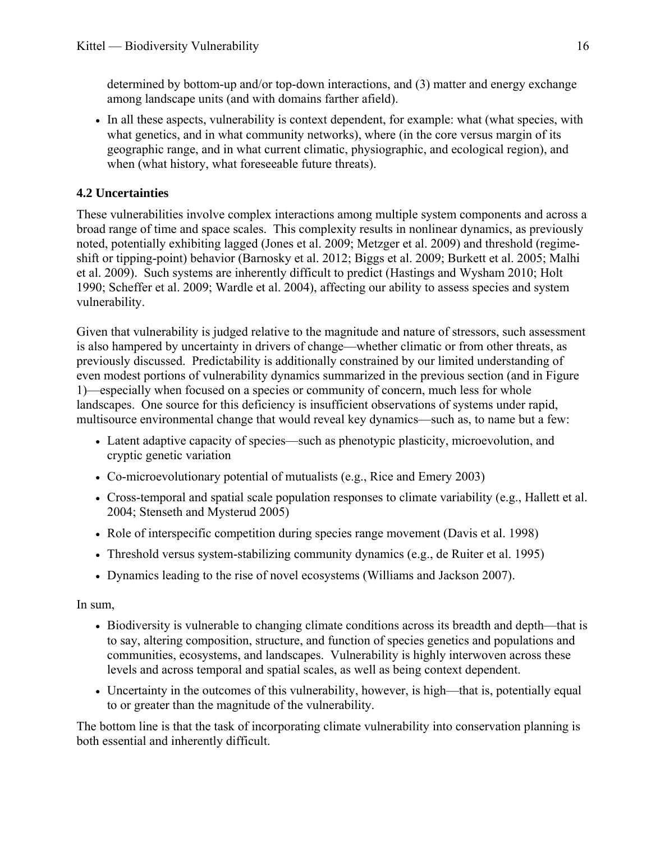determined by bottom-up and/or top-down interactions, and (3) matter and energy exchange among landscape units (and with domains farther afield).

 In all these aspects, vulnerability is context dependent, for example: what (what species, with what genetics, and in what community networks), where (in the core versus margin of its geographic range, and in what current climatic, physiographic, and ecological region), and when (what history, what foreseeable future threats).

# <span id="page-18-0"></span>**4.2 Uncertainties**

These vulnerabilities involve complex interactions among multiple system components and across a broad range of time and space scales. This complexity results in nonlinear dynamics, as previously noted, potentially exhibiting lagged ([Jones et al. 2009;](#page-31-6) [Metzger et al. 2009](#page-32-8)) and threshold (regimeshift or tipping-point) behavior [\(Barnosky et al. 2012](#page-26-13); [Biggs et al. 2009;](#page-27-7) [Burkett et al. 2005;](#page-27-17) [Malhi](#page-32-16)  [et al. 2009](#page-32-16)). Such systems are inherently difficult to predict ([Hastings and Wysham 2010;](#page-30-11) [Holt](#page-30-9)  [1990](#page-30-9); [Scheffer et al. 2009](#page-34-17); [Wardle et al. 2004](#page-35-12)), affecting our ability to assess species and system vulnerability.

Given that vulnerability is judged relative to the magnitude and nature of stressors, such assessment is also hampered by uncertainty in drivers of change—whether climatic or from other threats, as previously discussed. Predictability is additionally constrained by our limited understanding of even modest portions of vulnerability dynamics summarized in the previous section (and in Figure 1)—especially when focused on a species or community of concern, much less for whole landscapes. One source for this deficiency is insufficient observations of systems under rapid, multisource environmental change that would reveal key dynamics—such as, to name but a few:

- Latent adaptive capacity of species—such as phenotypic plasticity, microevolution, and cryptic genetic variation
- Co-microevolutionary potential of mutualists ([e.g., Rice and Emery 2003](#page-34-7))
- Cross-temporal and spatial scale population responses to climate variability (e.g., [Hallett et al.](#page-29-8)  [2004;](#page-29-8) [Stenseth and Mysterud 2005](#page-35-17))
- Role of interspecific competition during species range movement [\(Davis et al. 1998\)](#page-28-2)
- Threshold versus system-stabilizing community dynamics [\(e.g., de Ruiter et al. 1995](#page-28-9))
- Dynamics leading to the rise of novel ecosystems [\(Williams and Jackson 2007\)](#page-36-0).

In sum,

- Biodiversity is vulnerable to changing climate conditions across its breadth and depth—that is to say, altering composition, structure, and function of species genetics and populations and communities, ecosystems, and landscapes. Vulnerability is highly interwoven across these levels and across temporal and spatial scales, as well as being context dependent.
- Uncertainty in the outcomes of this vulnerability, however, is high—that is, potentially equal to or greater than the magnitude of the vulnerability.

The bottom line is that the task of incorporating climate vulnerability into conservation planning is both essential and inherently difficult.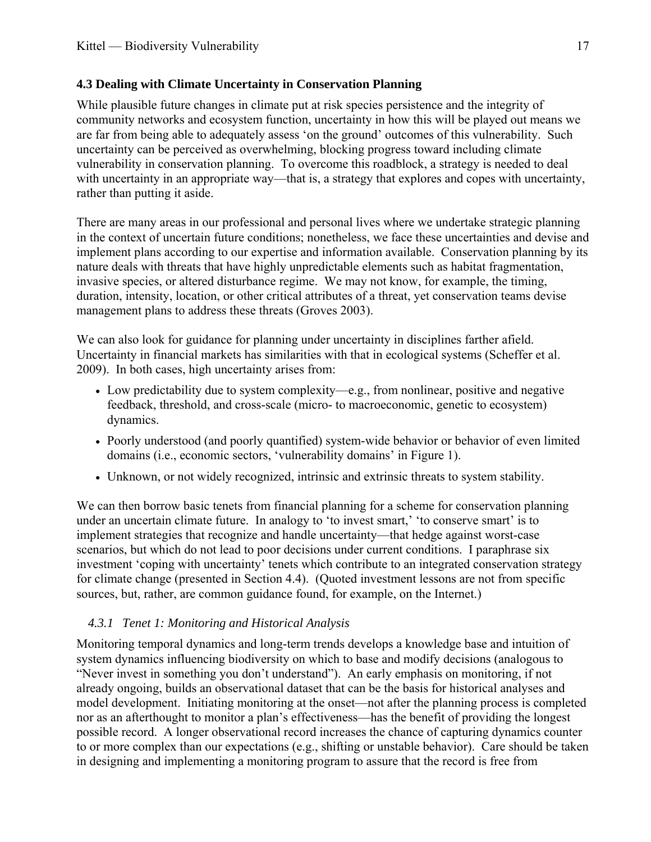# <span id="page-19-0"></span>**4.3 Dealing with Climate Uncertainty in Conservation Planning**

While plausible future changes in climate put at risk species persistence and the integrity of community networks and ecosystem function, uncertainty in how this will be played out means we are far from being able to adequately assess 'on the ground' outcomes of this vulnerability. Such uncertainty can be perceived as overwhelming, blocking progress toward including climate vulnerability in conservation planning. To overcome this roadblock, a strategy is needed to deal with uncertainty in an appropriate way—that is, a strategy that explores and copes with uncertainty, rather than putting it aside.

There are many areas in our professional and personal lives where we undertake strategic planning in the context of uncertain future conditions; nonetheless, we face these uncertainties and devise and implement plans according to our expertise and information available. Conservation planning by its nature deals with threats that have highly unpredictable elements such as habitat fragmentation, invasive species, or altered disturbance regime. We may not know, for example, the timing, duration, intensity, location, or other critical attributes of a threat, yet conservation teams devise management plans to address these threats ([Groves 2003](#page-29-14)).

We can also look for guidance for planning under uncertainty in disciplines farther afield. Uncertainty in financial markets has similarities with that in ecological systems [\(Scheffer et al.](#page-34-17)  [2009](#page-34-17)). In both cases, high uncertainty arises from:

- Low predictability due to system complexity—e.g., from nonlinear, positive and negative feedback, threshold, and cross-scale (micro- to macroeconomic, genetic to ecosystem) dynamics.
- Poorly understood (and poorly quantified) system-wide behavior or behavior of even limited domains (i.e., economic sectors, 'vulnerability domains' in Figure 1).
- Unknown, or not widely recognized, intrinsic and extrinsic threats to system stability.

We can then borrow basic tenets from financial planning for a scheme for conservation planning under an uncertain climate future. In analogy to 'to invest smart,' 'to conserve smart' is to implement strategies that recognize and handle uncertainty—that hedge against worst-case scenarios, but which do not lead to poor decisions under current conditions. I paraphrase six investment 'coping with uncertainty' tenets which contribute to an integrated conservation strategy for climate change (presented in Section 4.4). (Quoted investment lessons are not from specific sources, but, rather, are common guidance found, for example, on the Internet.)

# *4.3.1 Tenet 1: Monitoring and Historical Analysis*

<span id="page-19-1"></span>Monitoring temporal dynamics and long-term trends develops a knowledge base and intuition of system dynamics influencing biodiversity on which to base and modify decisions (analogous to "Never invest in something you don't understand"). An early emphasis on monitoring, if not already ongoing, builds an observational dataset that can be the basis for historical analyses and model development. Initiating monitoring at the onset—not after the planning process is completed nor as an afterthought to monitor a plan's effectiveness—has the benefit of providing the longest possible record. A longer observational record increases the chance of capturing dynamics counter to or more complex than our expectations (e.g., shifting or unstable behavior). Care should be taken in designing and implementing a monitoring program to assure that the record is free from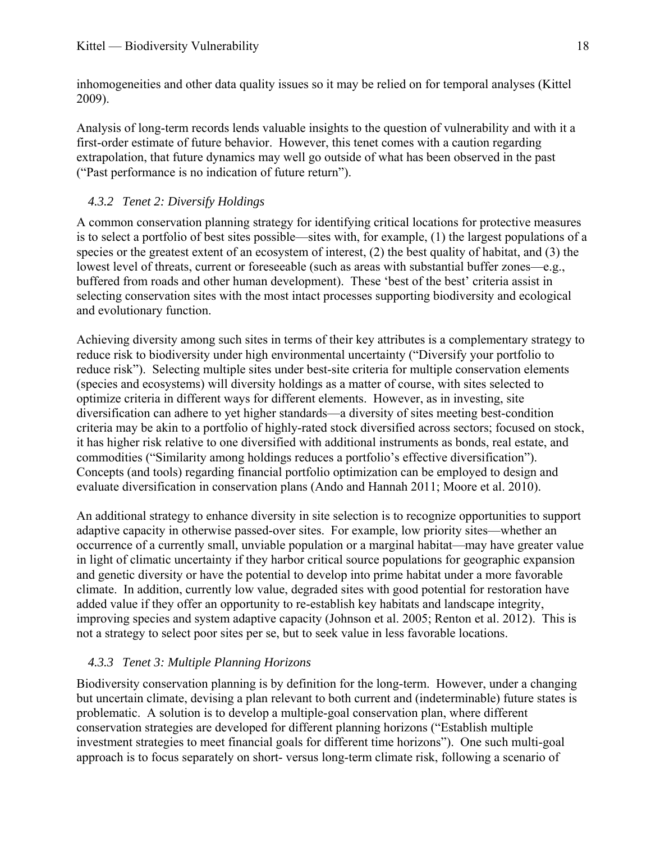inhomogeneities and other data quality issues so it may be relied on for temporal analyses [\(Kittel](#page-31-12)  [2009](#page-31-12)).

Analysis of long-term records lends valuable insights to the question of vulnerability and with it a first-order estimate of future behavior. However, this tenet comes with a caution regarding extrapolation, that future dynamics may well go outside of what has been observed in the past ("Past performance is no indication of future return").

# *4.3.2 Tenet 2: Diversify Holdings*

<span id="page-20-0"></span>A common conservation planning strategy for identifying critical locations for protective measures is to select a portfolio of best sites possible—sites with, for example, (1) the largest populations of a species or the greatest extent of an ecosystem of interest, (2) the best quality of habitat, and (3) the lowest level of threats, current or foreseeable (such as areas with substantial buffer zones—e.g., buffered from roads and other human development). These 'best of the best' criteria assist in selecting conservation sites with the most intact processes supporting biodiversity and ecological and evolutionary function.

Achieving diversity among such sites in terms of their key attributes is a complementary strategy to reduce risk to biodiversity under high environmental uncertainty ("Diversify your portfolio to reduce risk"). Selecting multiple sites under best-site criteria for multiple conservation elements (species and ecosystems) will diversity holdings as a matter of course, with sites selected to optimize criteria in different ways for different elements. However, as in investing, site diversification can adhere to yet higher standards—a diversity of sites meeting best-condition criteria may be akin to a portfolio of highly-rated stock diversified across sectors; focused on stock, it has higher risk relative to one diversified with additional instruments as bonds, real estate, and commodities ("Similarity among holdings reduces a portfolio's effective diversification"). Concepts (and tools) regarding financial portfolio optimization can be employed to design and evaluate diversification in conservation plans [\(Ando and Hannah 2011;](#page-26-14) [Moore et al. 2010](#page-32-17)).

An additional strategy to enhance diversity in site selection is to recognize opportunities to support adaptive capacity in otherwise passed-over sites. For example, low priority sites—whether an occurrence of a currently small, unviable population or a marginal habitat—may have greater value in light of climatic uncertainty if they harbor critical source populations for geographic expansion and genetic diversity or have the potential to develop into prime habitat under a more favorable climate. In addition, currently low value, degraded sites with good potential for restoration have added value if they offer an opportunity to re-establish key habitats and landscape integrity, improving species and system adaptive capacity ([Johnson et al. 2005;](#page-30-13) [Renton et al. 2012\)](#page-33-18). This is not a strategy to select poor sites per se, but to seek value in less favorable locations.

# *4.3.3 Tenet 3: Multiple Planning Horizons*

<span id="page-20-1"></span>Biodiversity conservation planning is by definition for the long-term. However, under a changing but uncertain climate, devising a plan relevant to both current and (indeterminable) future states is problematic. A solution is to develop a multiple-goal conservation plan, where different conservation strategies are developed for different planning horizons ("Establish multiple investment strategies to meet financial goals for different time horizons"). One such multi-goal approach is to focus separately on short- versus long-term climate risk, following a scenario of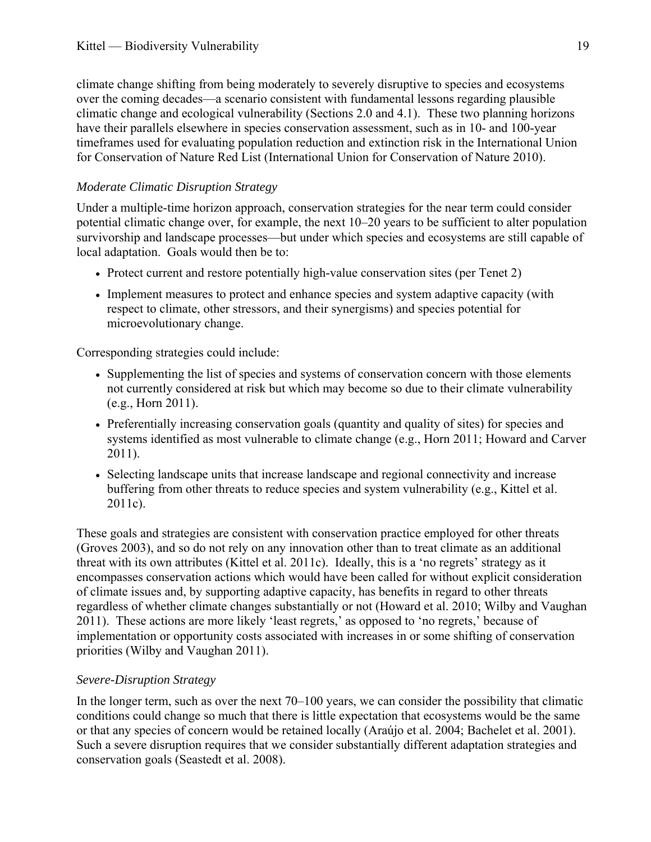climate change shifting from being moderately to severely disruptive to species and ecosystems over the coming decades—a scenario consistent with fundamental lessons regarding plausible climatic change and ecological vulnerability (Sections 2.0 and 4.1). These two planning horizons have their parallels elsewhere in species conservation assessment, such as in 10- and 100-year timeframes used for evaluating population reduction and extinction risk in the International Union for Conservation of Nature Red List ([International Union for Conservation of Nature 2010\)](#page-30-14).

# *Moderate Climatic Disruption Strategy*

Under a multiple-time horizon approach, conservation strategies for the near term could consider potential climatic change over, for example, the next 10–20 years to be sufficient to alter population survivorship and landscape processes—but under which species and ecosystems are still capable of local adaptation. Goals would then be to:

- Protect current and restore potentially high-value conservation sites (per Tenet 2)
- Implement measures to protect and enhance species and system adaptive capacity (with respect to climate, other stressors, and their synergisms) and species potential for microevolutionary change.

Corresponding strategies could include:

- Supplementing the list of species and systems of conservation concern with those elements not currently considered at risk but which may become so due to their climate vulnerability ([e.g., Horn 2011\)](#page-30-15).
- Preferentially increasing conservation goals (quantity and quality of sites) for species and systems identified as most vulnerable to climate change (e.g., [Horn 2011](#page-30-15); [Howard and Carver](#page-30-16)  [2011\)](#page-30-16).
- Selecting landscape units that increase landscape and regional connectivity and increase buffering from other threats to reduce species and system vulnerability [\(e.g., Kittel et al.](#page-31-1)  [2011c](#page-31-1)).

These goals and strategies are consistent with conservation practice employed for other threats ([Groves 2003\)](#page-29-14), and so do not rely on any innovation other than to treat climate as an additional threat with its own attributes [\(Kittel et al. 2011c](#page-31-1)). Ideally, this is a 'no regrets' strategy as it encompasses conservation actions which would have been called for without explicit consideration of climate issues and, by supporting adaptive capacity, has benefits in regard to other threats regardless of whether climate changes substantially or not [\(Howard et al. 2010](#page-30-17); [Wilby and Vaughan](#page-36-8)  [2011\)](#page-36-8). These actions are more likely 'least regrets,' as opposed to 'no regrets,' because of implementation or opportunity costs associated with increases in or some shifting of conservation priorities [\(Wilby and Vaughan 2011](#page-36-8)).

# *Severe-Disruption Strategy*

In the longer term, such as over the next 70–100 years, we can consider the possibility that climatic conditions could change so much that there is little expectation that ecosystems would be the same or that any species of concern would be retained locally ([Araújo et al. 2004](#page-26-15); [Bachelet et al. 2001\)](#page-26-16). Such a severe disruption requires that we consider substantially different adaptation strategies and conservation goals ([Seastedt et al. 2008\)](#page-34-6).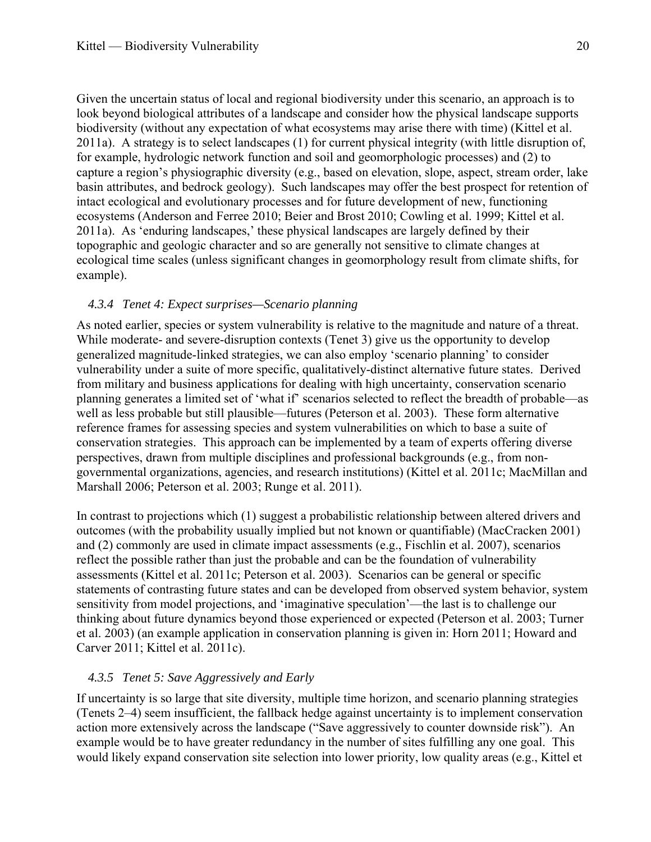Given the uncertain status of local and regional biodiversity under this scenario, an approach is to look beyond biological attributes of a landscape and consider how the physical landscape supports biodiversity (without any expectation of what ecosystems may arise there with time) ([Kittel et al.](#page-31-13)  [2011a](#page-31-13)). A strategy is to select landscapes (1) for current physical integrity (with little disruption of, for example, hydrologic network function and soil and geomorphologic processes) and (2) to capture a region's physiographic diversity (e.g., based on elevation, slope, aspect, stream order, lake basin attributes, and bedrock geology). Such landscapes may offer the best prospect for retention of intact ecological and evolutionary processes and for future development of new, functioning ecosystems ([Anderson and Ferree 2010](#page-26-17); [Beier and Brost 2010;](#page-26-18) [Cowling et al. 1999;](#page-28-16) [Kittel et al.](#page-31-13)  [2011a](#page-31-13)). As 'enduring landscapes,' these physical landscapes are largely defined by their topographic and geologic character and so are generally not sensitive to climate changes at ecological time scales (unless significant changes in geomorphology result from climate shifts, for example).

#### *4.3.4 Tenet 4: Expect surprises—Scenario planning*

<span id="page-22-0"></span>As noted earlier, species or system vulnerability is relative to the magnitude and nature of a threat. While moderate- and severe-disruption contexts (Tenet 3) give us the opportunity to develop generalized magnitude-linked strategies, we can also employ 'scenario planning' to consider vulnerability under a suite of more specific, qualitatively-distinct alternative future states. Derived from military and business applications for dealing with high uncertainty, conservation scenario planning generates a limited set of 'what if' scenarios selected to reflect the breadth of probable—as well as less probable but still plausible—futures ([Peterson et al. 2003](#page-33-4)). These form alternative reference frames for assessing species and system vulnerabilities on which to base a suite of conservation strategies. This approach can be implemented by a team of experts offering diverse perspectives, drawn from multiple disciplines and professional backgrounds (e.g., from nongovernmental organizations, agencies, and research institutions) ([Kittel et al. 2011c;](#page-31-1) [MacMillan and](#page-31-14)  [Marshall 2006;](#page-31-14) [Peterson et al. 2003;](#page-33-4) [Runge et al. 2011\)](#page-34-18).

In contrast to projections which (1) suggest a probabilistic relationship between altered drivers and outcomes (with the probability usually implied but not known or quantifiable) ([MacCracken 2001\)](#page-31-15) and (2) commonly are used in climate impact assessments ([e.g., Fischlin et al. 2007\)](#page-29-4), scenarios reflect the possible rather than just the probable and can be the foundation of vulnerability assessments [\(Kittel et al. 2011c](#page-31-1); [Peterson et al. 2003\)](#page-33-4). Scenarios can be general or specific statements of contrasting future states and can be developed from observed system behavior, system sensitivity from model projections, and 'imaginative speculation'—the last is to challenge our thinking about future dynamics beyond those experienced or expected ([Peterson et al. 2003](#page-33-4); [Turner](#page-35-1)  [et al. 2003](#page-35-1)) (an example application in conservation planning is given in: [Horn 2011](#page-30-15); [Howard and](#page-30-16)  [Carver 2011;](#page-30-16) [Kittel et al. 2011c\)](#page-31-1).

# *4.3.5 Tenet 5: Save Aggressively and Early*

<span id="page-22-1"></span>If uncertainty is so large that site diversity, multiple time horizon, and scenario planning strategies (Tenets 2–4) seem insufficient, the fallback hedge against uncertainty is to implement conservation action more extensively across the landscape ("Save aggressively to counter downside risk"). An example would be to have greater redundancy in the number of sites fulfilling any one goal. This would likely expand conservation site selection into lower priority, low quality areas ([e.g., Kittel et](#page-31-1)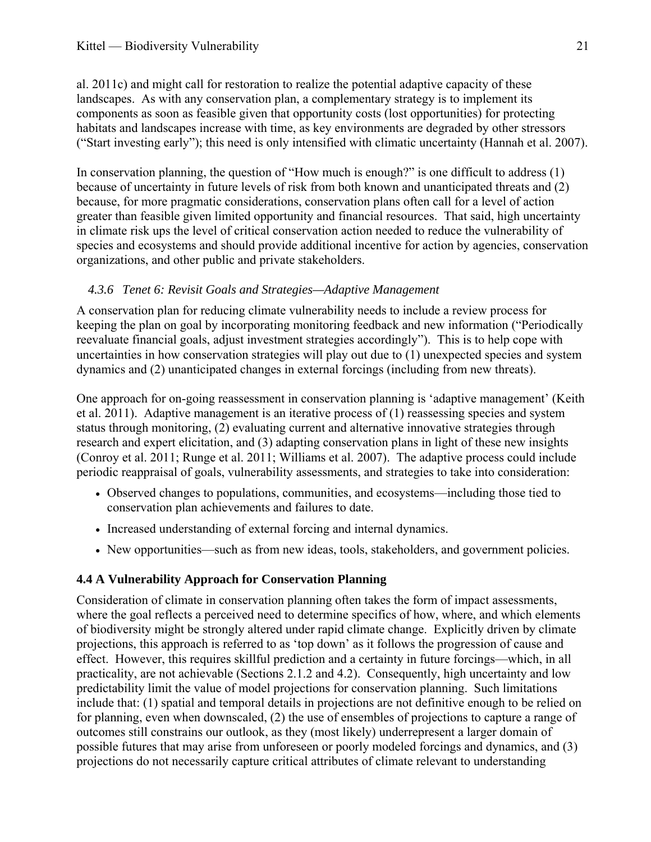[al. 2011c\)](#page-31-1) and might call for restoration to realize the potential adaptive capacity of these landscapes. As with any conservation plan, a complementary strategy is to implement its components as soon as feasible given that opportunity costs (lost opportunities) for protecting habitats and landscapes increase with time, as key environments are degraded by other stressors ("Start investing early"); this need is only intensified with climatic uncertainty ([Hannah et al. 2007](#page-29-15)).

In conservation planning, the question of "How much is enough?" is one difficult to address (1) because of uncertainty in future levels of risk from both known and unanticipated threats and (2) because, for more pragmatic considerations, conservation plans often call for a level of action greater than feasible given limited opportunity and financial resources. That said, high uncertainty in climate risk ups the level of critical conservation action needed to reduce the vulnerability of species and ecosystems and should provide additional incentive for action by agencies, conservation organizations, and other public and private stakeholders.

# *4.3.6 Tenet 6: Revisit Goals and Strategies—Adaptive Management*

<span id="page-23-0"></span>A conservation plan for reducing climate vulnerability needs to include a review process for keeping the plan on goal by incorporating monitoring feedback and new information ("Periodically reevaluate financial goals, adjust investment strategies accordingly"). This is to help cope with uncertainties in how conservation strategies will play out due to (1) unexpected species and system dynamics and (2) unanticipated changes in external forcings (including from new threats).

One approach for on-going reassessment in conservation planning is 'adaptive management' ([Keith](#page-31-16)  [et al. 2011](#page-31-16)). Adaptive management is an iterative process of (1) reassessing species and system status through monitoring, (2) evaluating current and alternative innovative strategies through research and expert elicitation, and (3) adapting conservation plans in light of these new insights ([Conroy et al. 2011](#page-28-17); [Runge et al. 2011](#page-34-18); [Williams et al. 2007\)](#page-36-9). The adaptive process could include periodic reappraisal of goals, vulnerability assessments, and strategies to take into consideration:

- Observed changes to populations, communities, and ecosystems—including those tied to conservation plan achievements and failures to date.
- Increased understanding of external forcing and internal dynamics.
- New opportunities—such as from new ideas, tools, stakeholders, and government policies.

# <span id="page-23-1"></span>**4.4 A Vulnerability Approach for Conservation Planning**

Consideration of climate in conservation planning often takes the form of impact assessments, where the goal reflects a perceived need to determine specifics of how, where, and which elements of biodiversity might be strongly altered under rapid climate change. Explicitly driven by climate projections, this approach is referred to as 'top down' as it follows the progression of cause and effect. However, this requires skillful prediction and a certainty in future forcings—which, in all practicality, are not achievable (Sections 2.1.2 and 4.2). Consequently, high uncertainty and low predictability limit the value of model projections for conservation planning. Such limitations include that: (1) spatial and temporal details in projections are not definitive enough to be relied on for planning, even when downscaled, (2) the use of ensembles of projections to capture a range of outcomes still constrains our outlook, as they (most likely) underrepresent a larger domain of possible futures that may arise from unforeseen or poorly modeled forcings and dynamics, and (3) projections do not necessarily capture critical attributes of climate relevant to understanding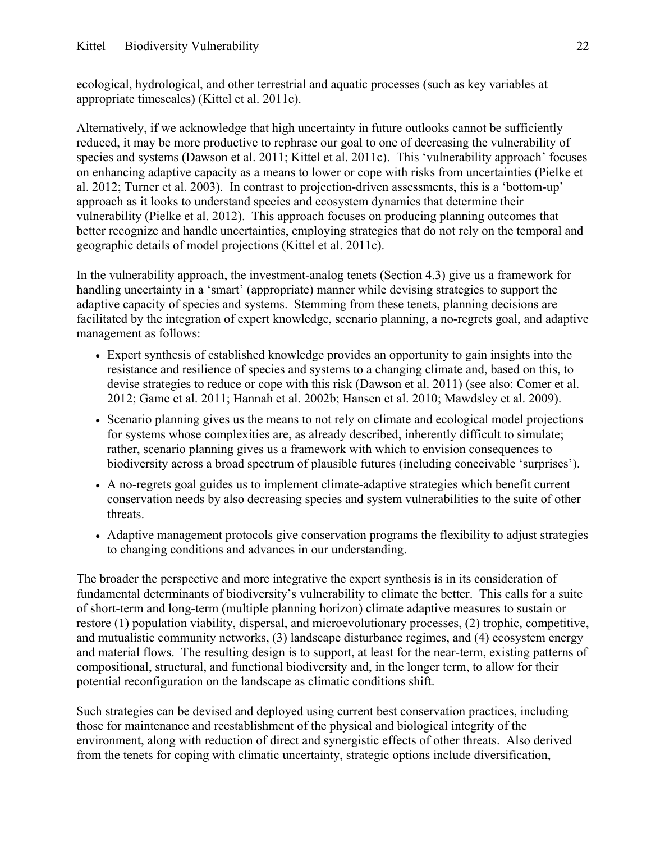ecological, hydrological, and other terrestrial and aquatic processes (such as key variables at appropriate timescales) ([Kittel et al. 2011c\)](#page-31-1).

Alternatively, if we acknowledge that high uncertainty in future outlooks cannot be sufficiently reduced, it may be more productive to rephrase our goal to one of decreasing the vulnerability of species and systems ([Dawson et al. 2011;](#page-28-18) [Kittel et al. 2011c\)](#page-31-1). This 'vulnerability approach' focuses on enhancing adaptive capacity as a means to lower or cope with risks from uncertainties ([Pielke et](#page-33-19)  [al. 2012;](#page-33-19) [Turner et al. 2003\)](#page-35-1). In contrast to projection-driven assessments, this is a 'bottom-up' approach as it looks to understand species and ecosystem dynamics that determine their vulnerability [\(Pielke et al. 2012\)](#page-33-19). This approach focuses on producing planning outcomes that better recognize and handle uncertainties, employing strategies that do not rely on the temporal and geographic details of model projections ([Kittel et al. 2011c\)](#page-31-1).

In the vulnerability approach, the investment-analog tenets (Section 4.3) give us a framework for handling uncertainty in a 'smart' (appropriate) manner while devising strategies to support the adaptive capacity of species and systems. Stemming from these tenets, planning decisions are facilitated by the integration of expert knowledge, scenario planning, a no-regrets goal, and adaptive management as follows:

- Expert synthesis of established knowledge provides an opportunity to gain insights into the resistance and resilience of species and systems to a changing climate and, based on this, to devise strategies to reduce or cope with this risk [\(Dawson et al. 2011](#page-28-18)) [\(see also: Comer et al.](#page-27-0)  [2012;](#page-27-0) [Game et al. 2011](#page-29-16); [Hannah et al. 2002b](#page-29-17); [Hansen et al. 2010;](#page-29-18) [Mawdsley et al. 2009](#page-32-0)).
- Scenario planning gives us the means to not rely on climate and ecological model projections for systems whose complexities are, as already described, inherently difficult to simulate; rather, scenario planning gives us a framework with which to envision consequences to biodiversity across a broad spectrum of plausible futures (including conceivable 'surprises').
- A no-regrets goal guides us to implement climate-adaptive strategies which benefit current conservation needs by also decreasing species and system vulnerabilities to the suite of other threats.
- Adaptive management protocols give conservation programs the flexibility to adjust strategies to changing conditions and advances in our understanding.

The broader the perspective and more integrative the expert synthesis is in its consideration of fundamental determinants of biodiversity's vulnerability to climate the better. This calls for a suite of short-term and long-term (multiple planning horizon) climate adaptive measures to sustain or restore (1) population viability, dispersal, and microevolutionary processes, (2) trophic, competitive, and mutualistic community networks, (3) landscape disturbance regimes, and (4) ecosystem energy and material flows. The resulting design is to support, at least for the near-term, existing patterns of compositional, structural, and functional biodiversity and, in the longer term, to allow for their potential reconfiguration on the landscape as climatic conditions shift.

Such strategies can be devised and deployed using current best conservation practices, including those for maintenance and reestablishment of the physical and biological integrity of the environment, along with reduction of direct and synergistic effects of other threats. Also derived from the tenets for coping with climatic uncertainty, strategic options include diversification,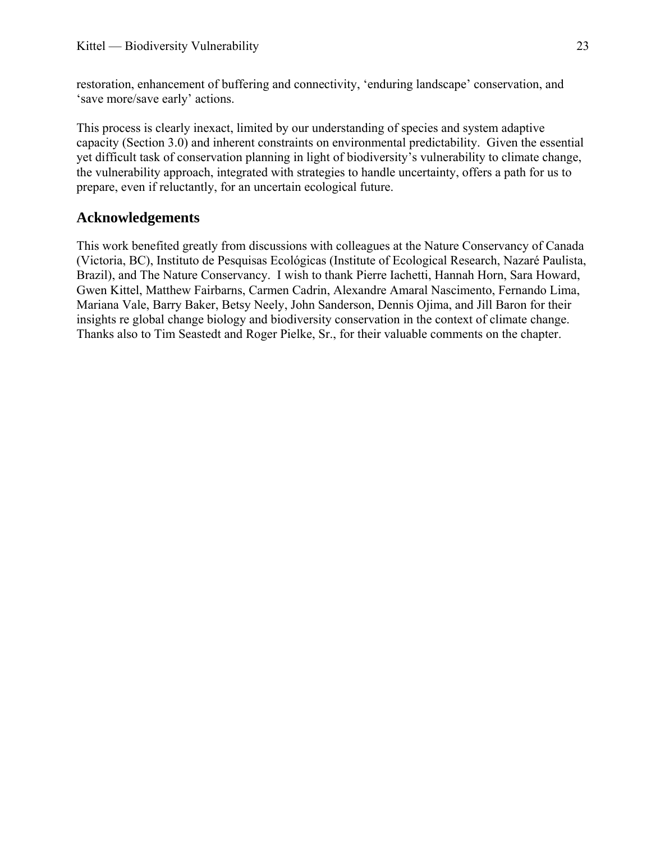restoration, enhancement of buffering and connectivity, 'enduring landscape' conservation, and 'save more/save early' actions.

This process is clearly inexact, limited by our understanding of species and system adaptive capacity (Section 3.0) and inherent constraints on environmental predictability. Given the essential yet difficult task of conservation planning in light of biodiversity's vulnerability to climate change, the vulnerability approach, integrated with strategies to handle uncertainty, offers a path for us to prepare, even if reluctantly, for an uncertain ecological future.

# <span id="page-25-0"></span>**Acknowledgements**

This work benefited greatly from discussions with colleagues at the Nature Conservancy of Canada (Victoria, BC), Instituto de Pesquisas Ecológicas (Institute of Ecological Research, Nazaré Paulista, Brazil), and The Nature Conservancy. I wish to thank Pierre Iachetti, Hannah Horn, Sara Howard, Gwen Kittel, Matthew Fairbarns, Carmen Cadrin, Alexandre Amaral Nascimento, Fernando Lima, Mariana Vale, Barry Baker, Betsy Neely, John Sanderson, Dennis Ojima, and Jill Baron for their insights re global change biology and biodiversity conservation in the context of climate change. Thanks also to Tim Seastedt and Roger Pielke, Sr., for their valuable comments on the chapter.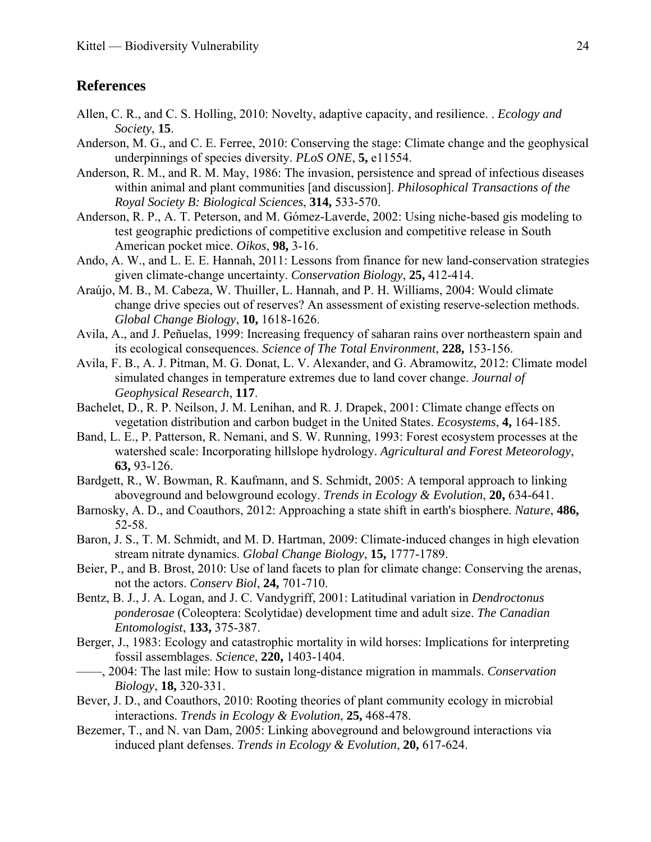# <span id="page-26-0"></span>**References**

- Allen, C. R., and C. S. Holling, 2010: Novelty, adaptive capacity, and resilience. . *Ecology and Society*, **15**.
- <span id="page-26-17"></span>Anderson, M. G., and C. E. Ferree, 2010: Conserving the stage: Climate change and the geophysical underpinnings of species diversity. *PLoS ONE*, **5,** e11554.
- <span id="page-26-12"></span>Anderson, R. M., and R. M. May, 1986: The invasion, persistence and spread of infectious diseases within animal and plant communities [and discussion]. *Philosophical Transactions of the Royal Society B: Biological Sciences*, **314,** 533-570.
- <span id="page-26-3"></span>Anderson, R. P., A. T. Peterson, and M. Gómez-Laverde, 2002: Using niche-based gis modeling to test geographic predictions of competitive exclusion and competitive release in South American pocket mice. *Oikos*, **98,** 3-16.
- <span id="page-26-14"></span>Ando, A. W., and L. E. E. Hannah, 2011: Lessons from finance for new land-conservation strategies given climate-change uncertainty. *Conservation Biology*, **25,** 412-414.
- <span id="page-26-15"></span>Araújo, M. B., M. Cabeza, W. Thuiller, L. Hannah, and P. H. Williams, 2004: Would climate change drive species out of reserves? An assessment of existing reserve-selection methods. *Global Change Biology*, **10,** 1618-1626.
- <span id="page-26-11"></span>Avila, A., and J. Peñuelas, 1999: Increasing frequency of saharan rains over northeastern spain and its ecological consequences. *Science of The Total Environment*, **228,** 153-156.
- <span id="page-26-1"></span>Avila, F. B., A. J. Pitman, M. G. Donat, L. V. Alexander, and G. Abramowitz, 2012: Climate model simulated changes in temperature extremes due to land cover change. *Journal of Geophysical Research*, **117**.
- <span id="page-26-16"></span>Bachelet, D., R. P. Neilson, J. M. Lenihan, and R. J. Drapek, 2001: Climate change effects on vegetation distribution and carbon budget in the United States. *Ecosystems*, **4,** 164-185.
- <span id="page-26-5"></span>Band, L. E., P. Patterson, R. Nemani, and S. W. Running, 1993: Forest ecosystem processes at the watershed scale: Incorporating hillslope hydrology. *Agricultural and Forest Meteorology*, **63,** 93-126.
- <span id="page-26-6"></span>Bardgett, R., W. Bowman, R. Kaufmann, and S. Schmidt, 2005: A temporal approach to linking aboveground and belowground ecology. *Trends in Ecology & Evolution*, **20,** 634-641.
- <span id="page-26-13"></span>Barnosky, A. D., and Coauthors, 2012: Approaching a state shift in earth's biosphere. *Nature*, **486,** 52-58.
- <span id="page-26-10"></span>Baron, J. S., T. M. Schmidt, and M. D. Hartman, 2009: Climate-induced changes in high elevation stream nitrate dynamics. *Global Change Biology*, **15,** 1777-1789.
- <span id="page-26-18"></span>Beier, P., and B. Brost, 2010: Use of land facets to plan for climate change: Conserving the arenas, not the actors. *Conserv Biol*, **24,** 701-710.
- <span id="page-26-4"></span>Bentz, B. J., J. A. Logan, and J. C. Vandygriff, 2001: Latitudinal variation in *Dendroctonus ponderosae* (Coleoptera: Scolytidae) development time and adult size. *The Canadian Entomologist*, **133,** 375-387.
- <span id="page-26-2"></span>Berger, J., 1983: Ecology and catastrophic mortality in wild horses: Implications for interpreting fossil assemblages. *Science*, **220,** 1403-1404.
- <span id="page-26-9"></span>——, 2004: The last mile: How to sustain long-distance migration in mammals. *Conservation Biology*, **18,** 320-331.
- <span id="page-26-7"></span>Bever, J. D., and Coauthors, 2010: Rooting theories of plant community ecology in microbial interactions. *Trends in Ecology & Evolution*, **25,** 468-478.
- <span id="page-26-8"></span>Bezemer, T., and N. van Dam, 2005: Linking aboveground and belowground interactions via induced plant defenses. *Trends in Ecology & Evolution*, **20,** 617-624.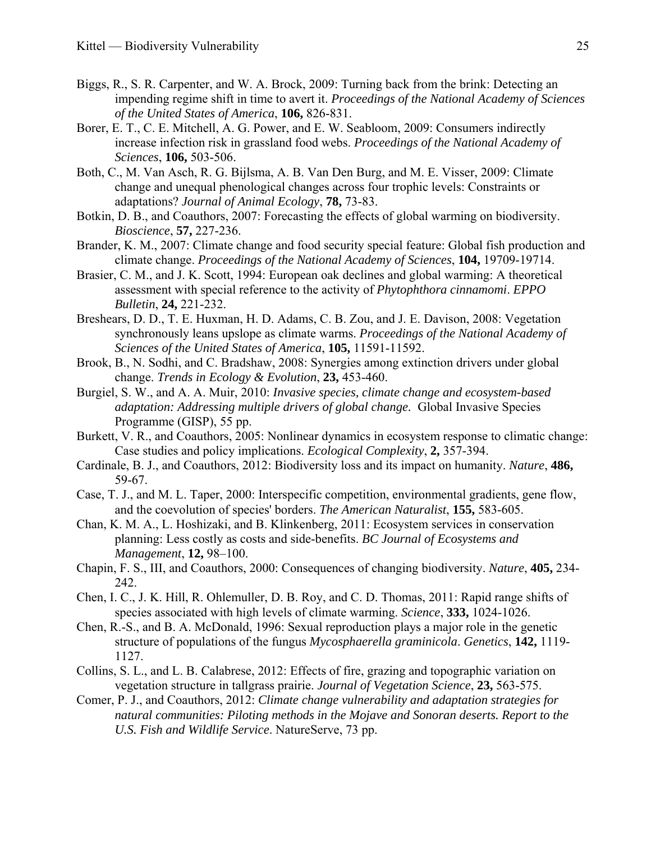- <span id="page-27-7"></span>Biggs, R., S. R. Carpenter, and W. A. Brock, 2009: Turning back from the brink: Detecting an impending regime shift in time to avert it. *Proceedings of the National Academy of Sciences of the United States of America*, **106,** 826-831.
- <span id="page-27-16"></span>Borer, E. T., C. E. Mitchell, A. G. Power, and E. W. Seabloom, 2009: Consumers indirectly increase infection risk in grassland food webs. *Proceedings of the National Academy of Sciences*, **106,** 503-506.
- <span id="page-27-4"></span>Both, C., M. Van Asch, R. G. Bijlsma, A. B. Van Den Burg, and M. E. Visser, 2009: Climate change and unequal phenological changes across four trophic levels: Constraints or adaptations? *Journal of Animal Ecology*, **78,** 73-83.
- <span id="page-27-3"></span>Botkin, D. B., and Coauthors, 2007: Forecasting the effects of global warming on biodiversity. *Bioscience*, **57,** 227-236.
- <span id="page-27-2"></span>Brander, K. M., 2007: Climate change and food security special feature: Global fish production and climate change. *Proceedings of the National Academy of Sciences*, **104,** 19709-19714.
- <span id="page-27-8"></span>Brasier, C. M., and J. K. Scott, 1994: European oak declines and global warming: A theoretical assessment with special reference to the activity of *Phytophthora cinnamomi*. *EPPO Bulletin*, **24,** 221-232.
- <span id="page-27-10"></span>Breshears, D. D., T. E. Huxman, H. D. Adams, C. B. Zou, and J. E. Davison, 2008: Vegetation synchronously leans upslope as climate warms. *Proceedings of the National Academy of Sciences of the United States of America*, **105,** 11591-11592.
- <span id="page-27-14"></span>Brook, B., N. Sodhi, and C. Bradshaw, 2008: Synergies among extinction drivers under global change. *Trends in Ecology & Evolution*, **23,** 453-460.
- <span id="page-27-15"></span>Burgiel, S. W., and A. A. Muir, 2010: *Invasive species, climate change and ecosystem-based adaptation: Addressing multiple drivers of global change.* Global Invasive Species Programme (GISP), 55 pp.
- <span id="page-27-17"></span>Burkett, V. R., and Coauthors, 2005: Nonlinear dynamics in ecosystem response to climatic change: Case studies and policy implications. *Ecological Complexity*, **2,** 357-394.
- <span id="page-27-5"></span>Cardinale, B. J., and Coauthors, 2012: Biodiversity loss and its impact on humanity. *Nature*, **486,** 59-67.
- <span id="page-27-11"></span>Case, T. J., and M. L. Taper, 2000: Interspecific competition, environmental gradients, gene flow, and the coevolution of species' borders. *The American Naturalist*, **155,** 583-605.
- <span id="page-27-6"></span>Chan, K. M. A., L. Hoshizaki, and B. Klinkenberg, 2011: Ecosystem services in conservation planning: Less costly as costs and side-benefits. *BC Journal of Ecosystems and Management*, **12,** 98–100.
- <span id="page-27-1"></span>Chapin, F. S., III, and Coauthors, 2000: Consequences of changing biodiversity. *Nature*, **405,** 234- 242.
- <span id="page-27-9"></span>Chen, I. C., J. K. Hill, R. Ohlemuller, D. B. Roy, and C. D. Thomas, 2011: Rapid range shifts of species associated with high levels of climate warming. *Science*, **333,** 1024-1026.
- <span id="page-27-12"></span>Chen, R.-S., and B. A. McDonald, 1996: Sexual reproduction plays a major role in the genetic structure of populations of the fungus *Mycosphaerella graminicola*. *Genetics*, **142,** 1119- 1127.
- <span id="page-27-13"></span>Collins, S. L., and L. B. Calabrese, 2012: Effects of fire, grazing and topographic variation on vegetation structure in tallgrass prairie. *Journal of Vegetation Science*, **23,** 563-575.
- <span id="page-27-0"></span>Comer, P. J., and Coauthors, 2012: *Climate change vulnerability and adaptation strategies for natural communities: Piloting methods in the Mojave and Sonoran deserts. Report to the U.S. Fish and Wildlife Service*. NatureServe, 73 pp.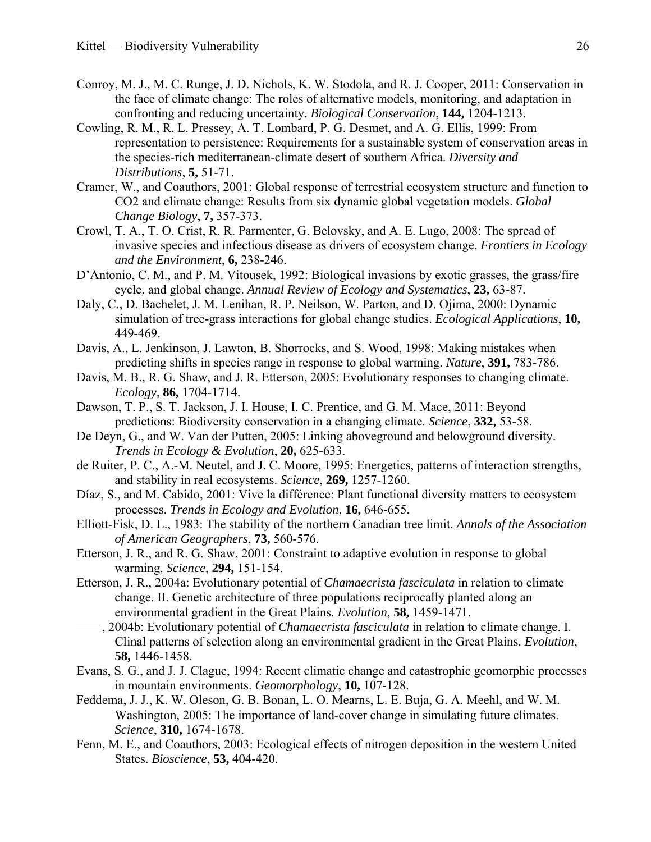- <span id="page-28-17"></span>Conroy, M. J., M. C. Runge, J. D. Nichols, K. W. Stodola, and R. J. Cooper, 2011: Conservation in the face of climate change: The roles of alternative models, monitoring, and adaptation in confronting and reducing uncertainty. *Biological Conservation*, **144,** 1204-1213.
- <span id="page-28-16"></span>Cowling, R. M., R. L. Pressey, A. T. Lombard, P. G. Desmet, and A. G. Ellis, 1999: From representation to persistence: Requirements for a sustainable system of conservation areas in the species-rich mediterranean-climate desert of southern Africa. *Diversity and Distributions*, **5,** 51-71.
- <span id="page-28-13"></span>Cramer, W., and Coauthors, 2001: Global response of terrestrial ecosystem structure and function to CO2 and climate change: Results from six dynamic global vegetation models. *Global Change Biology*, **7,** 357-373.
- <span id="page-28-15"></span>Crowl, T. A., T. O. Crist, R. R. Parmenter, G. Belovsky, and A. E. Lugo, 2008: The spread of invasive species and infectious disease as drivers of ecosystem change. *Frontiers in Ecology and the Environment*, **6,** 238-246.
- <span id="page-28-8"></span>D'Antonio, C. M., and P. M. Vitousek, 1992: Biological invasions by exotic grasses, the grass/fire cycle, and global change. *Annual Review of Ecology and Systematics*, **23,** 63-87.
- <span id="page-28-10"></span>Daly, C., D. Bachelet, J. M. Lenihan, R. P. Neilson, W. Parton, and D. Ojima, 2000: Dynamic simulation of tree-grass interactions for global change studies. *Ecological Applications*, **10,** 449-469.
- <span id="page-28-2"></span>Davis, A., L. Jenkinson, J. Lawton, B. Shorrocks, and S. Wood, 1998: Making mistakes when predicting shifts in species range in response to global warming. *Nature*, **391,** 783-786.
- <span id="page-28-5"></span>Davis, M. B., R. G. Shaw, and J. R. Etterson, 2005: Evolutionary responses to changing climate. *Ecology*, **86,** 1704-1714.
- <span id="page-28-18"></span>Dawson, T. P., S. T. Jackson, J. I. House, I. C. Prentice, and G. M. Mace, 2011: Beyond predictions: Biodiversity conservation in a changing climate. *Science*, **332,** 53-58.
- <span id="page-28-12"></span>De Deyn, G., and W. Van der Putten, 2005: Linking aboveground and belowground diversity. *Trends in Ecology & Evolution*, **20,** 625-633.
- <span id="page-28-9"></span>de Ruiter, P. C., A.-M. Neutel, and J. C. Moore, 1995: Energetics, patterns of interaction strengths, and stability in real ecosystems. *Science*, **269,** 1257-1260.
- <span id="page-28-11"></span>Díaz, S., and M. Cabido, 2001: Vive la différence: Plant functional diversity matters to ecosystem processes. *Trends in Ecology and Evolution*, **16,** 646-655.
- <span id="page-28-3"></span>Elliott-Fisk, D. L., 1983: The stability of the northern Canadian tree limit. *Annals of the Association of American Geographers*, **73,** 560-576.
- <span id="page-28-7"></span>Etterson, J. R., and R. G. Shaw, 2001: Constraint to adaptive evolution in response to global warming. *Science*, **294,** 151-154.
- <span id="page-28-4"></span>Etterson, J. R., 2004a: Evolutionary potential of *Chamaecrista fasciculata* in relation to climate change. II. Genetic architecture of three populations reciprocally planted along an environmental gradient in the Great Plains. *Evolution*, **58,** 1459-1471.
- <span id="page-28-6"></span>——, 2004b: Evolutionary potential of *Chamaecrista fasciculata* in relation to climate change. I. Clinal patterns of selection along an environmental gradient in the Great Plains. *Evolution*, **58,** 1446-1458.
- <span id="page-28-1"></span>Evans, S. G., and J. J. Clague, 1994: Recent climatic change and catastrophic geomorphic processes in mountain environments. *Geomorphology*, **10,** 107-128.
- <span id="page-28-0"></span>Feddema, J. J., K. W. Oleson, G. B. Bonan, L. O. Mearns, L. E. Buja, G. A. Meehl, and W. M. Washington, 2005: The importance of land-cover change in simulating future climates. *Science*, **310,** 1674-1678.
- <span id="page-28-14"></span>Fenn, M. E., and Coauthors, 2003: Ecological effects of nitrogen deposition in the western United States. *Bioscience*, **53,** 404-420.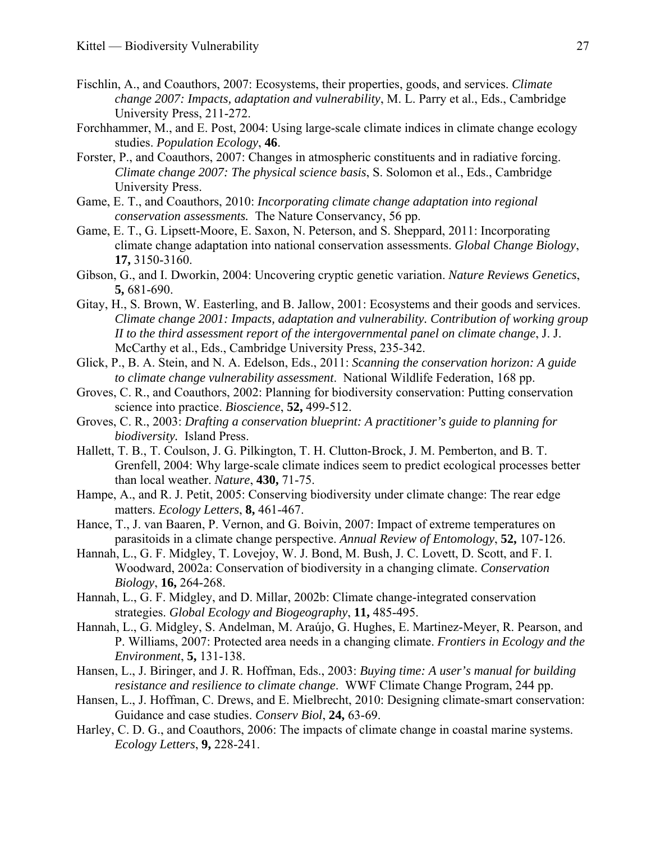- <span id="page-29-4"></span>Fischlin, A., and Coauthors, 2007: Ecosystems, their properties, goods, and services. *Climate change 2007: Impacts, adaptation and vulnerability*, M. L. Parry et al., Eds., Cambridge University Press, 211-272.
- <span id="page-29-9"></span>Forchhammer, M., and E. Post, 2004: Using large-scale climate indices in climate change ecology studies. *Population Ecology*, **46**.
- <span id="page-29-5"></span>Forster, P., and Coauthors, 2007: Changes in atmospheric constituents and in radiative forcing. *Climate change 2007: The physical science basis*, S. Solomon et al., Eds., Cambridge University Press.
- <span id="page-29-0"></span>Game, E. T., and Coauthors, 2010: *Incorporating climate change adaptation into regional conservation assessments.* The Nature Conservancy, 56 pp.
- <span id="page-29-16"></span>Game, E. T., G. Lipsett-Moore, E. Saxon, N. Peterson, and S. Sheppard, 2011: Incorporating climate change adaptation into national conservation assessments. *Global Change Biology*, **17,** 3150-3160.
- <span id="page-29-12"></span>Gibson, G., and I. Dworkin, 2004: Uncovering cryptic genetic variation. *Nature Reviews Genetics*, **5,** 681-690.
- <span id="page-29-13"></span>Gitay, H., S. Brown, W. Easterling, and B. Jallow, 2001: Ecosystems and their goods and services. *Climate change 2001: Impacts, adaptation and vulnerability. Contribution of working group II to the third assessment report of the intergovernmental panel on climate change*, J. J. McCarthy et al., Eds., Cambridge University Press, 235-342.
- <span id="page-29-1"></span>Glick, P., B. A. Stein, and N. A. Edelson, Eds., 2011: *Scanning the conservation horizon: A guide to climate change vulnerability assessment*. National Wildlife Federation, 168 pp.
- <span id="page-29-7"></span>Groves, C. R., and Coauthors, 2002: Planning for biodiversity conservation: Putting conservation science into practice. *Bioscience*, **52,** 499-512.
- <span id="page-29-14"></span>Groves, C. R., 2003: *Drafting a conservation blueprint: A practitioner's guide to planning for biodiversity.* Island Press.
- <span id="page-29-8"></span>Hallett, T. B., T. Coulson, J. G. Pilkington, T. H. Clutton-Brock, J. M. Pemberton, and B. T. Grenfell, 2004: Why large-scale climate indices seem to predict ecological processes better than local weather. *Nature*, **430,** 71-75.
- <span id="page-29-11"></span>Hampe, A., and R. J. Petit, 2005: Conserving biodiversity under climate change: The rear edge matters. *Ecology Letters*, **8,** 461-467.
- <span id="page-29-10"></span>Hance, T., J. van Baaren, P. Vernon, and G. Boivin, 2007: Impact of extreme temperatures on parasitoids in a climate change perspective. *Annual Review of Entomology*, **52,** 107-126.
- <span id="page-29-2"></span>Hannah, L., G. F. Midgley, T. Lovejoy, W. J. Bond, M. Bush, J. C. Lovett, D. Scott, and F. I. Woodward, 2002a: Conservation of biodiversity in a changing climate. *Conservation Biology*, **16,** 264-268.
- <span id="page-29-17"></span>Hannah, L., G. F. Midgley, and D. Millar, 2002b: Climate change-integrated conservation strategies. *Global Ecology and Biogeography*, **11,** 485-495.
- <span id="page-29-15"></span>Hannah, L., G. Midgley, S. Andelman, M. Araújo, G. Hughes, E. Martinez-Meyer, R. Pearson, and P. Williams, 2007: Protected area needs in a changing climate. *Frontiers in Ecology and the Environment*, **5,** 131-138.
- <span id="page-29-3"></span>Hansen, L., J. Biringer, and J. R. Hoffman, Eds., 2003: *Buying time: A user's manual for building resistance and resilience to climate change*. WWF Climate Change Program, 244 pp.
- <span id="page-29-18"></span>Hansen, L., J. Hoffman, C. Drews, and E. Mielbrecht, 2010: Designing climate-smart conservation: Guidance and case studies. *Conserv Biol*, **24,** 63-69.
- <span id="page-29-6"></span>Harley, C. D. G., and Coauthors, 2006: The impacts of climate change in coastal marine systems. *Ecology Letters*, **9,** 228-241.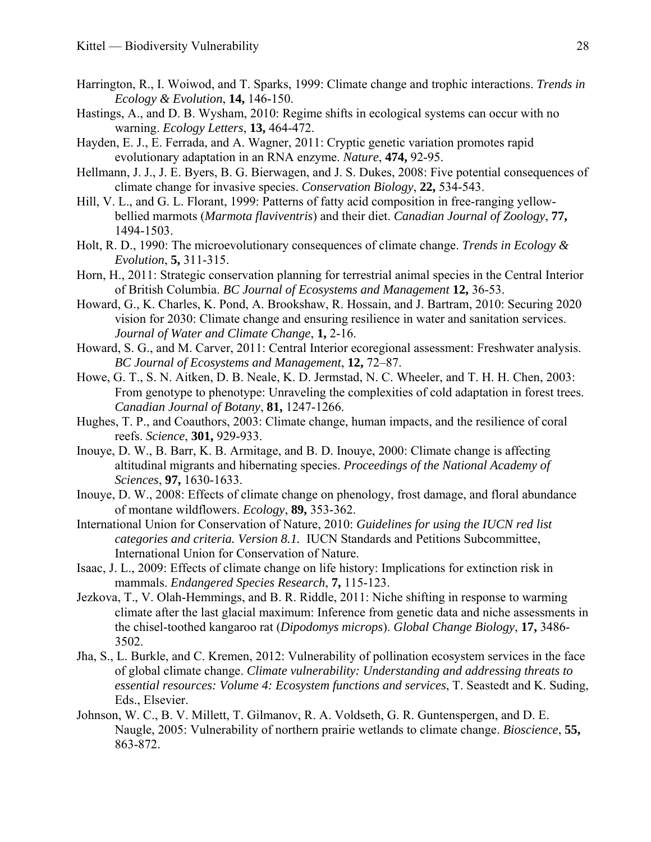- <span id="page-30-4"></span>Harrington, R., I. Woiwod, and T. Sparks, 1999: Climate change and trophic interactions. *Trends in Ecology & Evolution*, **14,** 146-150.
- <span id="page-30-11"></span>Hastings, A., and D. B. Wysham, 2010: Regime shifts in ecological systems can occur with no warning. *Ecology Letters*, **13,** 464-472.
- <span id="page-30-8"></span>Hayden, E. J., E. Ferrada, and A. Wagner, 2011: Cryptic genetic variation promotes rapid evolutionary adaptation in an RNA enzyme. *Nature*, **474,** 92-95.
- <span id="page-30-12"></span>Hellmann, J. J., J. E. Byers, B. G. Bierwagen, and J. S. Dukes, 2008: Five potential consequences of climate change for invasive species. *Conservation Biology*, **22,** 534-543.
- <span id="page-30-10"></span>Hill, V. L., and G. L. Florant, 1999: Patterns of fatty acid composition in free-ranging yellowbellied marmots (*Marmota flaviventris*) and their diet. *Canadian Journal of Zoology*, **77,** 1494-1503.
- <span id="page-30-9"></span>Holt, R. D., 1990: The microevolutionary consequences of climate change. *Trends in Ecology & Evolution*, **5,** 311-315.
- <span id="page-30-15"></span>Horn, H., 2011: Strategic conservation planning for terrestrial animal species in the Central Interior of British Columbia. *BC Journal of Ecosystems and Management* **12,** 36-53.
- <span id="page-30-17"></span>Howard, G., K. Charles, K. Pond, A. Brookshaw, R. Hossain, and J. Bartram, 2010: Securing 2020 vision for 2030: Climate change and ensuring resilience in water and sanitation services. *Journal of Water and Climate Change*, **1,** 2-16.
- <span id="page-30-16"></span>Howard, S. G., and M. Carver, 2011: Central Interior ecoregional assessment: Freshwater analysis. *BC Journal of Ecosystems and Management*, **12,** 72–87.
- <span id="page-30-7"></span>Howe, G. T., S. N. Aitken, D. B. Neale, K. D. Jermstad, N. C. Wheeler, and T. H. H. Chen, 2003: From genotype to phenotype: Unraveling the complexities of cold adaptation in forest trees. *Canadian Journal of Botany*, **81,** 1247-1266.
- <span id="page-30-1"></span>Hughes, T. P., and Coauthors, 2003: Climate change, human impacts, and the resilience of coral reefs. *Science*, **301,** 929-933.
- <span id="page-30-5"></span>Inouye, D. W., B. Barr, K. B. Armitage, and B. D. Inouye, 2000: Climate change is affecting altitudinal migrants and hibernating species. *Proceedings of the National Academy of Sciences*, **97,** 1630-1633.
- <span id="page-30-2"></span>Inouye, D. W., 2008: Effects of climate change on phenology, frost damage, and floral abundance of montane wildflowers. *Ecology*, **89,** 353-362.
- <span id="page-30-14"></span>International Union for Conservation of Nature, 2010: *Guidelines for using the IUCN red list categories and criteria. Version 8.1.* IUCN Standards and Petitions Subcommittee, International Union for Conservation of Nature.
- <span id="page-30-3"></span>Isaac, J. L., 2009: Effects of climate change on life history: Implications for extinction risk in mammals. *Endangered Species Research*, **7,** 115-123.
- <span id="page-30-6"></span>Jezkova, T., V. Olah-Hemmings, and B. R. Riddle, 2011: Niche shifting in response to warming climate after the last glacial maximum: Inference from genetic data and niche assessments in the chisel-toothed kangaroo rat (*Dipodomys microps*). *Global Change Biology*, **17,** 3486- 3502.
- <span id="page-30-0"></span>Jha, S., L. Burkle, and C. Kremen, 2012: Vulnerability of pollination ecosystem services in the face of global climate change. *Climate vulnerability: Understanding and addressing threats to essential resources: Volume 4: Ecosystem functions and services*, T. Seastedt and K. Suding, Eds., Elsevier.
- <span id="page-30-13"></span>Johnson, W. C., B. V. Millett, T. Gilmanov, R. A. Voldseth, G. R. Guntenspergen, and D. E. Naugle, 2005: Vulnerability of northern prairie wetlands to climate change. *Bioscience*, **55,** 863-872.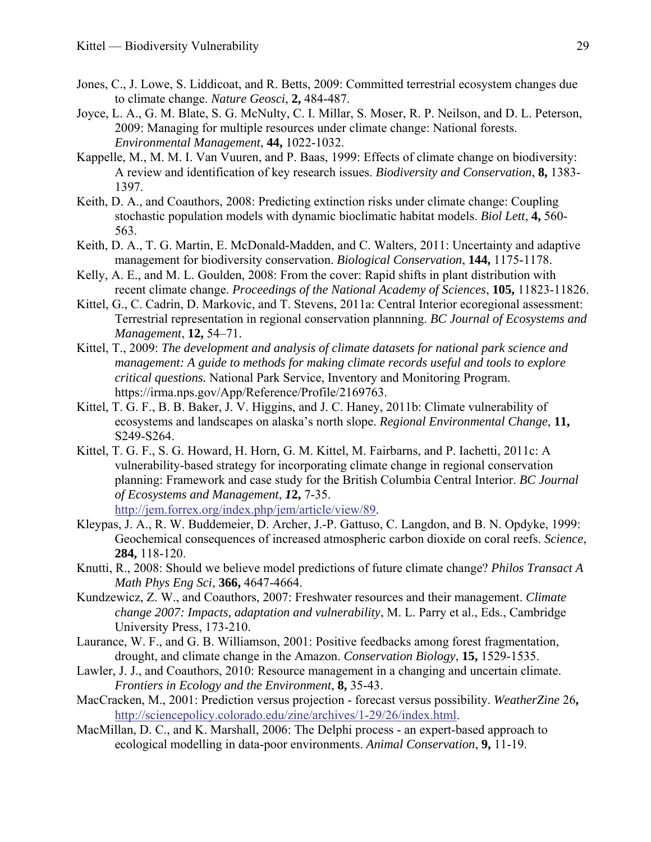- <span id="page-31-6"></span>Jones, C., J. Lowe, S. Liddicoat, and R. Betts, 2009: Committed terrestrial ecosystem changes due to climate change. *Nature Geosci*, **2,** 484-487.
- <span id="page-31-0"></span>Joyce, L. A., G. M. Blate, S. G. McNulty, C. I. Millar, S. Moser, R. P. Neilson, and D. L. Peterson, 2009: Managing for multiple resources under climate change: National forests. *Environmental Management*, **44,** 1022-1032.
- <span id="page-31-9"></span>Kappelle, M., M. M. I. Van Vuuren, and P. Baas, 1999: Effects of climate change on biodiversity: A review and identification of key research issues. *Biodiversity and Conservation*, **8,** 1383- 1397.
- <span id="page-31-7"></span>Keith, D. A., and Coauthors, 2008: Predicting extinction risks under climate change: Coupling stochastic population models with dynamic bioclimatic habitat models. *Biol Lett*, **4,** 560- 563.
- <span id="page-31-16"></span>Keith, D. A., T. G. Martin, E. McDonald-Madden, and C. Walters, 2011: Uncertainty and adaptive management for biodiversity conservation. *Biological Conservation*, **144,** 1175-1178.
- <span id="page-31-8"></span>Kelly, A. E., and M. L. Goulden, 2008: From the cover: Rapid shifts in plant distribution with recent climate change. *Proceedings of the National Academy of Sciences*, **105,** 11823-11826.
- <span id="page-31-13"></span>Kittel, G., C. Cadrin, D. Markovic, and T. Stevens, 2011a: Central Interior ecoregional assessment: Terrestrial representation in regional conservation plannning. *BC Journal of Ecosystems and Management*, **12,** 54–71.
- <span id="page-31-12"></span>Kittel, T., 2009: *The development and analysis of climate datasets for national park science and management: A guide to methods for making climate records useful and tools to explore critical questions.* National Park Service, Inventory and Monitoring Program. https://irma.nps.gov/App/Reference/Profile/2169763.
- <span id="page-31-5"></span>Kittel, T. G. F., B. B. Baker, J. V. Higgins, and J. C. Haney, 2011b: Climate vulnerability of ecosystems and landscapes on alaska's north slope. *Regional Environmental Change*, **11,** S249-S264.
- <span id="page-31-1"></span>Kittel, T. G. F., S. G. Howard, H. Horn, G. M. Kittel, M. Fairbarns, and P. Iachetti, 2011c: A vulnerability-based strategy for incorporating climate change in regional conservation planning: Framework and case study for the British Columbia Central Interior. *BC Journal of Ecosystems and Management*, *1***2,** 7-35. [http://jem.forrex.org/index.php/jem/article/view/89.](http://jem.forrex.org/index.php/jem/article/view/89)
- <span id="page-31-11"></span>Kleypas, J. A., R. W. Buddemeier, D. Archer, J.-P. Gattuso, C. Langdon, and B. N. Opdyke, 1999: Geochemical consequences of increased atmospheric carbon dioxide on coral reefs. *Science*, **284,** 118-120.
- <span id="page-31-3"></span>Knutti, R., 2008: Should we believe model predictions of future climate change? *Philos Transact A Math Phys Eng Sci*, **366,** 4647-4664.
- <span id="page-31-4"></span>Kundzewicz, Z. W., and Coauthors, 2007: Freshwater resources and their management. *Climate change 2007: Impacts, adaptation and vulnerability*, M. L. Parry et al., Eds., Cambridge University Press, 173-210.
- <span id="page-31-10"></span>Laurance, W. F., and G. B. Williamson, 2001: Positive feedbacks among forest fragmentation, drought, and climate change in the Amazon. *Conservation Biology*, **15,** 1529-1535.
- <span id="page-31-2"></span>Lawler, J. J., and Coauthors, 2010: Resource management in a changing and uncertain climate. *Frontiers in Ecology and the Environment*, **8,** 35-43.
- <span id="page-31-15"></span>MacCracken, M., 2001: Prediction versus projection - forecast versus possibility. *WeatherZine* 26**,** [http://sciencepolicy.colorado.edu/zine/archives/1-29/26/index.html.](http://sciencepolicy.colorado.edu/zine/archives/1-29/26/index.html)
- <span id="page-31-14"></span>MacMillan, D. C., and K. Marshall, 2006: The Delphi process - an expert-based approach to ecological modelling in data-poor environments. *Animal Conservation*, **9,** 11-19.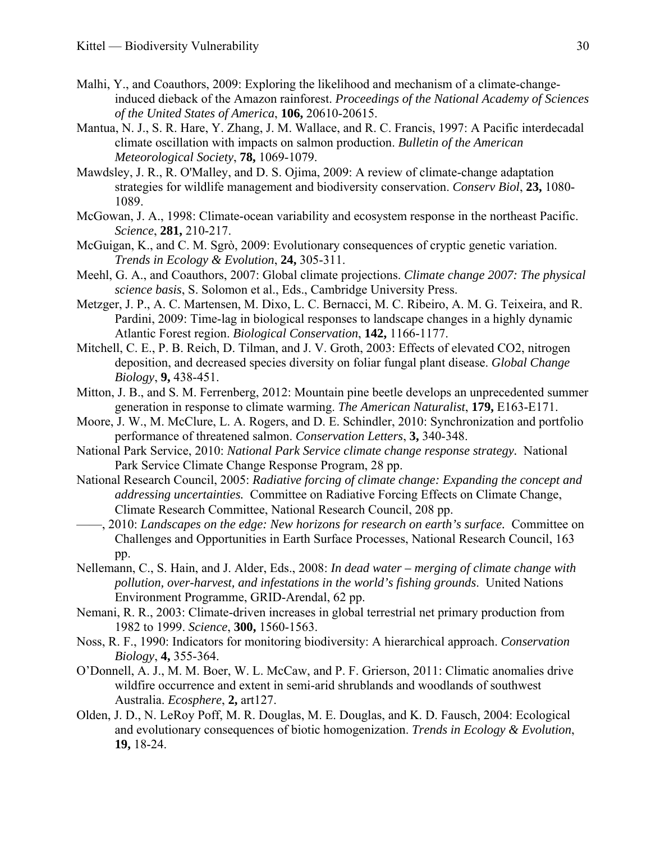- <span id="page-32-16"></span>Malhi, Y., and Coauthors, 2009: Exploring the likelihood and mechanism of a climate-changeinduced dieback of the Amazon rainforest. *Proceedings of the National Academy of Sciences of the United States of America*, **106,** 20610-20615.
- <span id="page-32-2"></span>Mantua, N. J., S. R. Hare, Y. Zhang, J. M. Wallace, and R. C. Francis, 1997: A Pacific interdecadal climate oscillation with impacts on salmon production. *Bulletin of the American Meteorological Society*, **78,** 1069-1079.
- <span id="page-32-0"></span>Mawdsley, J. R., R. O'Malley, and D. S. Ojima, 2009: A review of climate-change adaptation strategies for wildlife management and biodiversity conservation. *Conserv Biol*, **23,** 1080- 1089.
- <span id="page-32-11"></span>McGowan, J. A., 1998: Climate-ocean variability and ecosystem response in the northeast Pacific. *Science*, **281,** 210-217.
- <span id="page-32-10"></span>McGuigan, K., and C. M. Sgrò, 2009: Evolutionary consequences of cryptic genetic variation. *Trends in Ecology & Evolution*, **24,** 305-311.
- <span id="page-32-3"></span>Meehl, G. A., and Coauthors, 2007: Global climate projections. *Climate change 2007: The physical science basis*, S. Solomon et al., Eds., Cambridge University Press.
- <span id="page-32-8"></span>Metzger, J. P., A. C. Martensen, M. Dixo, L. C. Bernacci, M. C. Ribeiro, A. M. G. Teixeira, and R. Pardini, 2009: Time-lag in biological responses to landscape changes in a highly dynamic Atlantic Forest region. *Biological Conservation*, **142,** 1166-1177.
- <span id="page-32-15"></span>Mitchell, C. E., P. B. Reich, D. Tilman, and J. V. Groth, 2003: Effects of elevated CO2, nitrogen deposition, and decreased species diversity on foliar fungal plant disease. *Global Change Biology*, **9,** 438-451.
- <span id="page-32-14"></span>Mitton, J. B., and S. M. Ferrenberg, 2012: Mountain pine beetle develops an unprecedented summer generation in response to climate warming. *The American Naturalist*, **179,** E163-E171.
- <span id="page-32-17"></span>Moore, J. W., M. McClure, L. A. Rogers, and D. E. Schindler, 2010: Synchronization and portfolio performance of threatened salmon. *Conservation Letters*, **3,** 340-348.
- <span id="page-32-1"></span>National Park Service, 2010: *National Park Service climate change response strategy.* National Park Service Climate Change Response Program, 28 pp.
- <span id="page-32-4"></span>National Research Council, 2005: *Radiative forcing of climate change: Expanding the concept and addressing uncertainties.* Committee on Radiative Forcing Effects on Climate Change, Climate Research Committee, National Research Council, 208 pp.
- <span id="page-32-5"></span>——, 2010: *Landscapes on the edge: New horizons for research on earth's surface.* Committee on Challenges and Opportunities in Earth Surface Processes, National Research Council, 163 pp.
- <span id="page-32-13"></span>Nellemann, C., S. Hain, and J. Alder, Eds., 2008: *In dead water – merging of climate change with pollution, over-harvest, and infestations in the world's fishing grounds*. United Nations Environment Programme, GRID-Arendal, 62 pp.
- <span id="page-32-7"></span>Nemani, R. R., 2003: Climate-driven increases in global terrestrial net primary production from 1982 to 1999. *Science*, **300,** 1560-1563.
- <span id="page-32-9"></span>Noss, R. F., 1990: Indicators for monitoring biodiversity: A hierarchical approach. *Conservation Biology*, **4,** 355-364.
- <span id="page-32-6"></span>O'Donnell, A. J., M. M. Boer, W. L. McCaw, and P. F. Grierson, 2011: Climatic anomalies drive wildfire occurrence and extent in semi-arid shrublands and woodlands of southwest Australia. *Ecosphere*, **2,** art127.
- <span id="page-32-12"></span>Olden, J. D., N. LeRoy Poff, M. R. Douglas, M. E. Douglas, and K. D. Fausch, 2004: Ecological and evolutionary consequences of biotic homogenization. *Trends in Ecology & Evolution*, **19,** 18-24.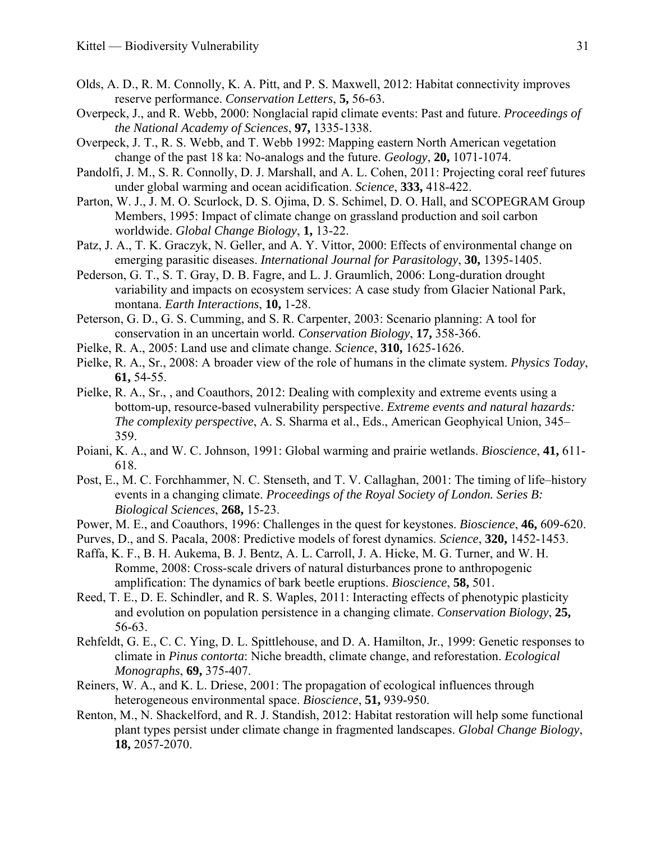- <span id="page-33-14"></span>Olds, A. D., R. M. Connolly, K. A. Pitt, and P. S. Maxwell, 2012: Habitat connectivity improves reserve performance. *Conservation Letters*, **5,** 56-63.
- <span id="page-33-3"></span>Overpeck, J., and R. Webb, 2000: Nonglacial rapid climate events: Past and future. *Proceedings of the National Academy of Sciences*, **97,** 1335-1338.
- <span id="page-33-6"></span>Overpeck, J. T., R. S. Webb, and T. Webb 1992: Mapping eastern North American vegetation change of the past 18 ka: No-analogs and the future. *Geology*, **20,** 1071-1074.
- <span id="page-33-15"></span>Pandolfi, J. M., S. R. Connolly, D. J. Marshall, and A. L. Cohen, 2011: Projecting coral reef futures under global warming and ocean acidification. *Science*, **333,** 418-422.
- <span id="page-33-11"></span>Parton, W. J., J. M. O. Scurlock, D. S. Ojima, D. S. Schimel, D. O. Hall, and SCOPEGRAM Group Members, 1995: Impact of climate change on grassland production and soil carbon worldwide. *Global Change Biology*, **1,** 13-22.
- <span id="page-33-17"></span>Patz, J. A., T. K. Graczyk, N. Geller, and A. Y. Vittor, 2000: Effects of environmental change on emerging parasitic diseases. *International Journal for Parasitology*, **30,** 1395-1405.
- <span id="page-33-0"></span>Pederson, G. T., S. T. Gray, D. B. Fagre, and L. J. Graumlich, 2006: Long-duration drought variability and impacts on ecosystem services: A case study from Glacier National Park, montana. *Earth Interactions*, **10,** 1-28.
- <span id="page-33-4"></span>Peterson, G. D., G. S. Cumming, and S. R. Carpenter, 2003: Scenario planning: A tool for conservation in an uncertain world. *Conservation Biology*, **17,** 358-366.
- <span id="page-33-1"></span>Pielke, R. A., 2005: Land use and climate change. *Science*, **310,** 1625-1626.
- <span id="page-33-2"></span>Pielke, R. A., Sr., 2008: A broader view of the role of humans in the climate system. *Physics Today*, **61,** 54-55.
- <span id="page-33-19"></span>Pielke, R. A., Sr., , and Coauthors, 2012: Dealing with complexity and extreme events using a bottom-up, resource-based vulnerability perspective. *Extreme events and natural hazards: The complexity perspective*, A. S. Sharma et al., Eds., American Geophyical Union, 345– 359.
- <span id="page-33-5"></span>Poiani, K. A., and W. C. Johnson, 1991: Global warming and prairie wetlands. *Bioscience*, **41,** 611- 618.
- <span id="page-33-7"></span>Post, E., M. C. Forchhammer, N. C. Stenseth, and T. V. Callaghan, 2001: The timing of life–history events in a changing climate. *Proceedings of the Royal Society of London. Series B: Biological Sciences*, **268,** 15-23.
- <span id="page-33-10"></span>Power, M. E., and Coauthors, 1996: Challenges in the quest for keystones. *Bioscience*, **46,** 609-620.
- <span id="page-33-12"></span>Purves, D., and S. Pacala, 2008: Predictive models of forest dynamics. *Science*, **320,** 1452-1453.
- <span id="page-33-16"></span>Raffa, K. F., B. H. Aukema, B. J. Bentz, A. L. Carroll, J. A. Hicke, M. G. Turner, and W. H. Romme, 2008: Cross-scale drivers of natural disturbances prone to anthropogenic amplification: The dynamics of bark beetle eruptions. *Bioscience*, **58,** 501.
- <span id="page-33-8"></span>Reed, T. E., D. E. Schindler, and R. S. Waples, 2011: Interacting effects of phenotypic plasticity and evolution on population persistence in a changing climate. *Conservation Biology*, **25,** 56-63.
- <span id="page-33-9"></span>Rehfeldt, G. E., C. C. Ying, D. L. Spittlehouse, and D. A. Hamilton, Jr., 1999: Genetic responses to climate in *Pinus contorta*: Niche breadth, climate change, and reforestation. *Ecological Monographs*, **69,** 375-407.
- <span id="page-33-13"></span>Reiners, W. A., and K. L. Driese, 2001: The propagation of ecological influences through heterogeneous environmental space. *Bioscience*, **51,** 939-950.
- <span id="page-33-18"></span>Renton, M., N. Shackelford, and R. J. Standish, 2012: Habitat restoration will help some functional plant types persist under climate change in fragmented landscapes. *Global Change Biology*, **18,** 2057-2070.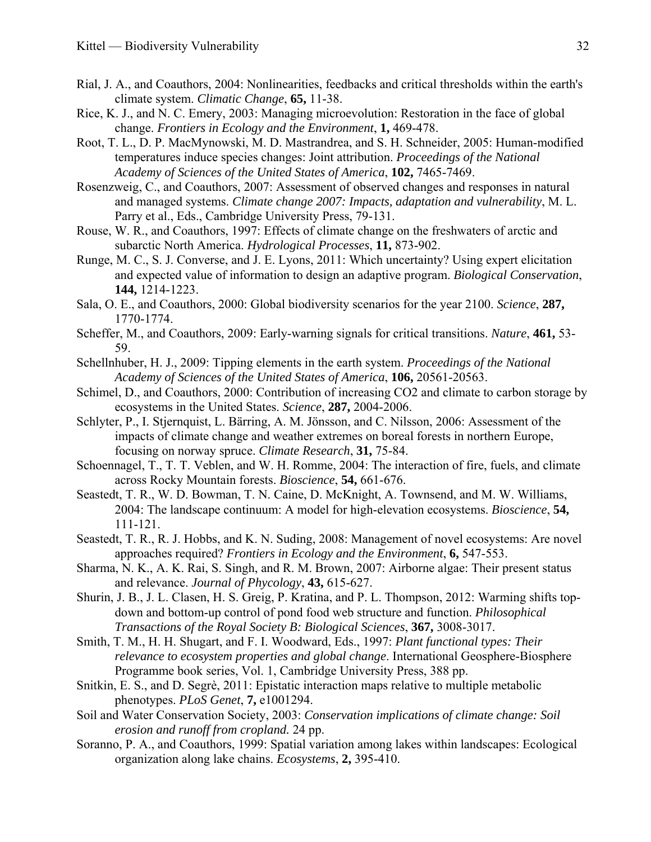- <span id="page-34-1"></span>Rial, J. A., and Coauthors, 2004: Nonlinearities, feedbacks and critical thresholds within the earth's climate system. *Climatic Change*, **65,** 11-38.
- <span id="page-34-7"></span>Rice, K. J., and N. C. Emery, 2003: Managing microevolution: Restoration in the face of global change. *Frontiers in Ecology and the Environment*, **1,** 469-478.
- <span id="page-34-5"></span>Root, T. L., D. P. MacMynowski, M. D. Mastrandrea, and S. H. Schneider, 2005: Human-modified temperatures induce species changes: Joint attribution. *Proceedings of the National Academy of Sciences of the United States of America*, **102,** 7465-7469.
- <span id="page-34-0"></span>Rosenzweig, C., and Coauthors, 2007: Assessment of observed changes and responses in natural and managed systems. *Climate change 2007: Impacts, adaptation and vulnerability*, M. L. Parry et al., Eds., Cambridge University Press, 79-131.
- Rouse, W. R., and Coauthors, 1997: Effects of climate change on the freshwaters of arctic and subarctic North America. *Hydrological Processes*, **11,** 873-902.
- <span id="page-34-18"></span>Runge, M. C., S. J. Converse, and J. E. Lyons, 2011: Which uncertainty? Using expert elicitation and expected value of information to design an adaptive program. *Biological Conservation*, **144,** 1214-1223.
- <span id="page-34-16"></span>Sala, O. E., and Coauthors, 2000: Global biodiversity scenarios for the year 2100. *Science*, **287,** 1770-1774.
- <span id="page-34-17"></span>Scheffer, M., and Coauthors, 2009: Early-warning signals for critical transitions. *Nature*, **461,** 53- 59.
- <span id="page-34-2"></span>Schellnhuber, H. J., 2009: Tipping elements in the earth system. *Proceedings of the National Academy of Sciences of the United States of America*, **106,** 20561-20563.
- <span id="page-34-11"></span>Schimel, D., and Coauthors, 2000: Contribution of increasing CO2 and climate to carbon storage by ecosystems in the United States. *Science*, **287,** 2004-2006.
- <span id="page-34-4"></span>Schlyter, P., I. Stjernquist, L. Bärring, A. M. Jönsson, and C. Nilsson, 2006: Assessment of the impacts of climate change and weather extremes on boreal forests in northern Europe, focusing on norway spruce. *Climate Research*, **31,** 75-84.
- <span id="page-34-15"></span>Schoennagel, T., T. T. Veblen, and W. H. Romme, 2004: The interaction of fire, fuels, and climate across Rocky Mountain forests. *Bioscience*, **54,** 661-676.
- <span id="page-34-12"></span>Seastedt, T. R., W. D. Bowman, T. N. Caine, D. McKnight, A. Townsend, and M. W. Williams, 2004: The landscape continuum: A model for high-elevation ecosystems. *Bioscience*, **54,** 111-121.
- <span id="page-34-6"></span>Seastedt, T. R., R. J. Hobbs, and K. N. Suding, 2008: Management of novel ecosystems: Are novel approaches required? *Frontiers in Ecology and the Environment*, **6,** 547-553.
- <span id="page-34-14"></span>Sharma, N. K., A. K. Rai, S. Singh, and R. M. Brown, 2007: Airborne algae: Their present status and relevance. *Journal of Phycology*, **43,** 615-627.
- <span id="page-34-9"></span>Shurin, J. B., J. L. Clasen, H. S. Greig, P. Kratina, and P. L. Thompson, 2012: Warming shifts topdown and bottom-up control of pond food web structure and function. *Philosophical Transactions of the Royal Society B: Biological Sciences*, **367,** 3008-3017.
- <span id="page-34-10"></span>Smith, T. M., H. H. Shugart, and F. I. Woodward, Eds., 1997: *Plant functional types: Their relevance to ecosystem properties and global change*. International Geosphere-Biosphere Programme book series, Vol. 1, Cambridge University Press, 388 pp.
- <span id="page-34-8"></span>Snitkin, E. S., and D. Segrè, 2011: Epistatic interaction maps relative to multiple metabolic phenotypes. *PLoS Genet*, **7,** e1001294.
- <span id="page-34-3"></span>Soil and Water Conservation Society, 2003: *Conservation implications of climate change: Soil erosion and runoff from cropland.* 24 pp.
- <span id="page-34-13"></span>Soranno, P. A., and Coauthors, 1999: Spatial variation among lakes within landscapes: Ecological organization along lake chains. *Ecosystems*, **2,** 395-410.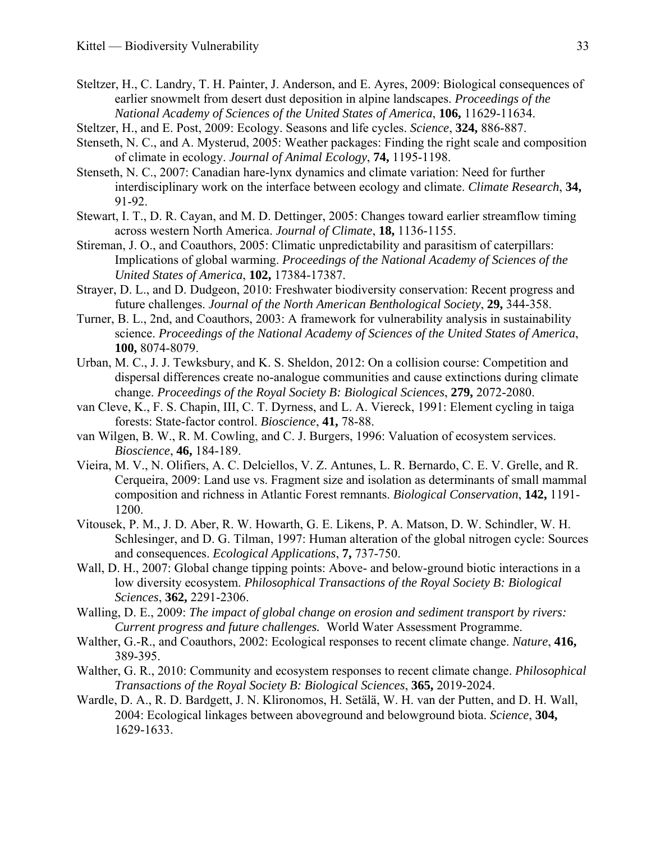- <span id="page-35-13"></span>Steltzer, H., C. Landry, T. H. Painter, J. Anderson, and E. Ayres, 2009: Biological consequences of earlier snowmelt from desert dust deposition in alpine landscapes. *Proceedings of the National Academy of Sciences of the United States of America*, **106,** 11629-11634.
- <span id="page-35-10"></span>Steltzer, H., and E. Post, 2009: Ecology. Seasons and life cycles. *Science*, **324,** 886-887.
- <span id="page-35-17"></span>Stenseth, N. C., and A. Mysterud, 2005: Weather packages: Finding the right scale and composition of climate in ecology. *Journal of Animal Ecology*, **74,** 1195-1198.
- <span id="page-35-7"></span>Stenseth, N. C., 2007: Canadian hare-lynx dynamics and climate variation: Need for further interdisciplinary work on the interface between ecology and climate. *Climate Research*, **34,** 91-92.
- <span id="page-35-2"></span>Stewart, I. T., D. R. Cayan, and M. D. Dettinger, 2005: Changes toward earlier streamflow timing across western North America. *Journal of Climate*, **18,** 1136-1155.
- <span id="page-35-8"></span>Stireman, J. O., and Coauthors, 2005: Climatic unpredictability and parasitism of caterpillars: Implications of global warming. *Proceedings of the National Academy of Sciences of the United States of America*, **102,** 17384-17387.
- <span id="page-35-3"></span>Strayer, D. L., and D. Dudgeon, 2010: Freshwater biodiversity conservation: Recent progress and future challenges. *Journal of the North American Benthological Society*, **29,** 344-358.
- <span id="page-35-1"></span>Turner, B. L., 2nd, and Coauthors, 2003: A framework for vulnerability analysis in sustainability science. *Proceedings of the National Academy of Sciences of the United States of America*, **100,** 8074-8079.
- <span id="page-35-6"></span>Urban, M. C., J. J. Tewksbury, and K. S. Sheldon, 2012: On a collision course: Competition and dispersal differences create no-analogue communities and cause extinctions during climate change. *Proceedings of the Royal Society B: Biological Sciences*, **279,** 2072-2080.
- <span id="page-35-4"></span>van Cleve, K., F. S. Chapin, III, C. T. Dyrness, and L. A. Viereck, 1991: Element cycling in taiga forests: State-factor control. *Bioscience*, **41,** 78-88.
- <span id="page-35-9"></span>van Wilgen, B. W., R. M. Cowling, and C. J. Burgers, 1996: Valuation of ecosystem services. *Bioscience*, **46,** 184-189.
- <span id="page-35-14"></span>Vieira, M. V., N. Olifiers, A. C. Delciellos, V. Z. Antunes, L. R. Bernardo, C. E. V. Grelle, and R. Cerqueira, 2009: Land use vs. Fragment size and isolation as determinants of small mammal composition and richness in Atlantic Forest remnants. *Biological Conservation*, **142,** 1191- 1200.
- <span id="page-35-15"></span>Vitousek, P. M., J. D. Aber, R. W. Howarth, G. E. Likens, P. A. Matson, D. W. Schindler, W. H. Schlesinger, and D. G. Tilman, 1997: Human alteration of the global nitrogen cycle: Sources and consequences. *Ecological Applications*, **7,** 737-750.
- <span id="page-35-11"></span>Wall, D. H., 2007: Global change tipping points: Above- and below-ground biotic interactions in a low diversity ecosystem. *Philosophical Transactions of the Royal Society B: Biological Sciences*, **362,** 2291-2306.
- <span id="page-35-16"></span>Walling, D. E., 2009: *The impact of global change on erosion and sediment transport by rivers: Current progress and future challenges.* World Water Assessment Programme.
- <span id="page-35-0"></span>Walther, G.-R., and Coauthors, 2002: Ecological responses to recent climate change. *Nature*, **416,** 389-395.
- <span id="page-35-5"></span>Walther, G. R., 2010: Community and ecosystem responses to recent climate change. *Philosophical Transactions of the Royal Society B: Biological Sciences*, **365,** 2019-2024.
- <span id="page-35-12"></span>Wardle, D. A., R. D. Bardgett, J. N. Klironomos, H. Setälä, W. H. van der Putten, and D. H. Wall, 2004: Ecological linkages between aboveground and belowground biota. *Science*, **304,** 1629-1633.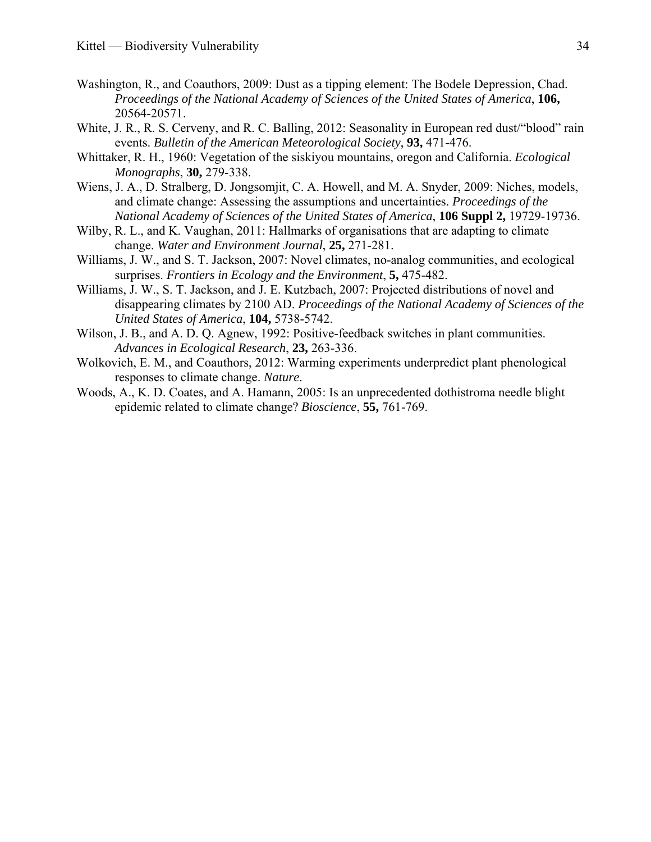- <span id="page-36-6"></span>Washington, R., and Coauthors, 2009: Dust as a tipping element: The Bodele Depression, Chad. *Proceedings of the National Academy of Sciences of the United States of America*, **106,** 20564-20571.
- <span id="page-36-7"></span><span id="page-36-2"></span>White, J. R., R. S. Cerveny, and R. C. Balling, 2012: Seasonality in European red dust/"blood" rain events. *Bulletin of the American Meteorological Society*, **93,** 471-476.
- <span id="page-36-10"></span>Whittaker, R. H., 1960: Vegetation of the siskiyou mountains, oregon and California. *Ecological Monographs*, **30,** 279-338.
- <span id="page-36-4"></span>Wiens, J. A., D. Stralberg, D. Jongsomjit, C. A. Howell, and M. A. Snyder, 2009: Niches, models, and climate change: Assessing the assumptions and uncertainties. *Proceedings of the National Academy of Sciences of the United States of America*, **106 Suppl 2,** 19729-19736.
- <span id="page-36-8"></span>Wilby, R. L., and K. Vaughan, 2011: Hallmarks of organisations that are adapting to climate change. *Water and Environment Journal*, **25,** 271-281.
- <span id="page-36-0"></span>Williams, J. W., and S. T. Jackson, 2007: Novel climates, no-analog communities, and ecological surprises. *Frontiers in Ecology and the Environment*, **5,** 475-482.
- <span id="page-36-9"></span>Williams, J. W., S. T. Jackson, and J. E. Kutzbach, 2007: Projected distributions of novel and disappearing climates by 2100 AD. *Proceedings of the National Academy of Sciences of the United States of America*, **104,** 5738-5742.
- <span id="page-36-5"></span>Wilson, J. B., and A. D. Q. Agnew, 1992: Positive-feedback switches in plant communities. *Advances in Ecological Research*, **23,** 263-336.
- <span id="page-36-1"></span>Wolkovich, E. M., and Coauthors, 2012: Warming experiments underpredict plant phenological responses to climate change. *Nature*.
- <span id="page-36-3"></span>Woods, A., K. D. Coates, and A. Hamann, 2005: Is an unprecedented dothistroma needle blight epidemic related to climate change? *Bioscience*, **55,** 761-769.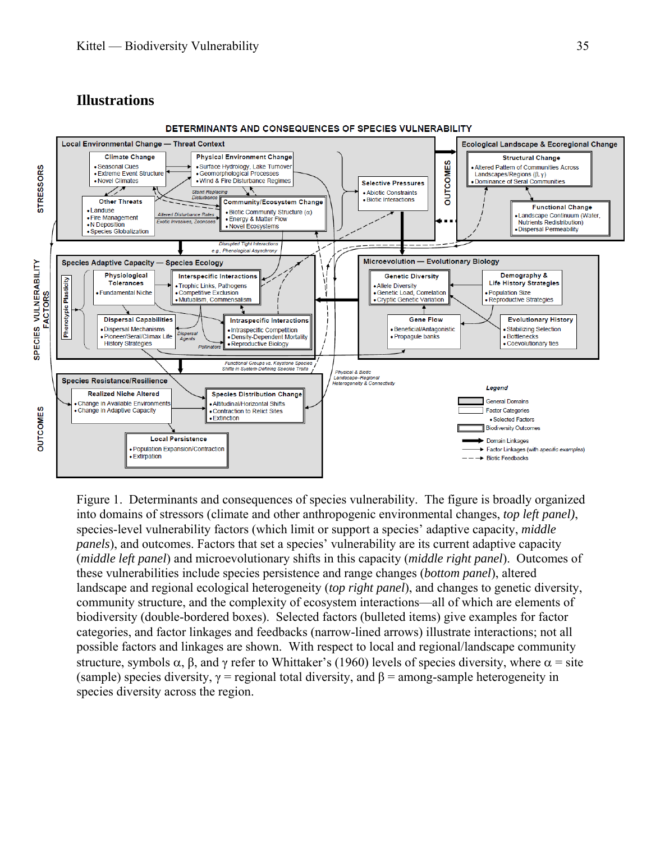# **Illustrations**

<span id="page-37-0"></span>

Figure 1. Determinants and consequences of species vulnerability. The figure is broadly organized into domains of stressors (climate and other anthropogenic environmental changes, *top left panel)*, species-level vulnerability factors (which limit or support a species' adaptive capacity, *middle panels*), and outcomes. Factors that set a species' vulnerability are its current adaptive capacity (*middle left panel*) and microevolutionary shifts in this capacity (*middle right panel*). Outcomes of these vulnerabilities include species persistence and range changes (*bottom panel*), altered landscape and regional ecological heterogeneity (*top right panel*), and changes to genetic diversity, community structure, and the complexity of ecosystem interactions—all of which are elements of biodiversity (double-bordered boxes). Selected factors (bulleted items) give examples for factor categories, and factor linkages and feedbacks (narrow-lined arrows) illustrate interactions; not all possible factors and linkages are shown. With respect to local and regional/landscape community structure, symbols  $\alpha$ , β, and γ refer to Whittaker's ([1960\)](#page-36-10) levels of species diversity, where  $\alpha$  = site (sample) species diversity,  $\gamma$  = regional total diversity, and  $\beta$  = among-sample heterogeneity in species diversity across the region.